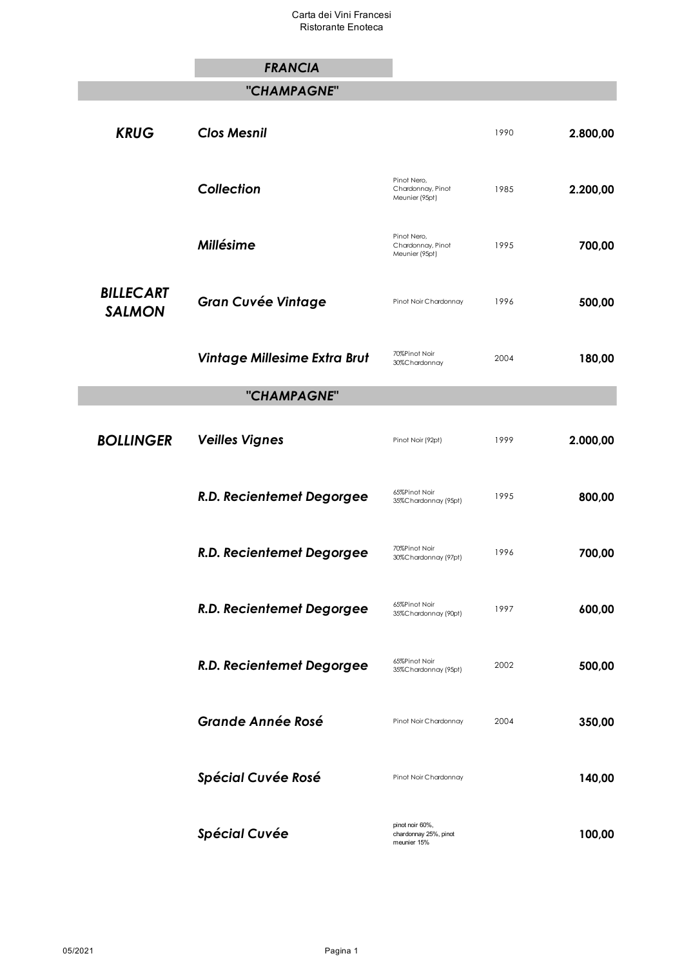# *FRANCIA "CHAMPAGNE"* **KRUG Clos Mesnil 1990 2.800,00** *Collection* Pinot Nero, Chardonnay, Pinot Meunier (95pt) 1985 **2.200,00** *Millésime* Pinot Nero, Chardonnay, Pinot Meunier (95pt) 1995 **700,00** *BILLECART*  **SALMON Gran Cuvée Vintage** Pinot Noir Chardonnay 1996 **500,00 Vintage Millesime Extra Brut** 70%Pinot Noir 30%Chardonnay <sup>2004</sup> **180,00** *"CHAMPAGNE"* **BOLLINGER Veilles Vignes Pinot Noir (92pt)** 1999 **2.000,00 R.D. Recientemet Degorgee** 65%Pinot Noir 35%Chardonnay (95pt) <sup>1995</sup> **800,00 R.D. Recientemet Degorgee** 70%Pinot Noir 30%Chardonnay (97pt) <sup>1996</sup> **700,00 R.D. Recientemet Degorgee** 65%Pinot Noir 35%Chardonnay (90pt) <sup>1997</sup> **600,00 R.D. Recientemet Degorgee** 65%Pinot Noir 35%Chardonnay (95pt) <sup>2002</sup> **500,00** *Grande Année Rosé* Pinot Noir Chardonnay <sup>2004</sup> **350,00 Spécial Cuvée Rosé** Pinot Noir Chardonnay **140,00**

**Spécial Cuvée pinot noir 60%,** chardonnay 25%, pinot meunier 15% **100,00**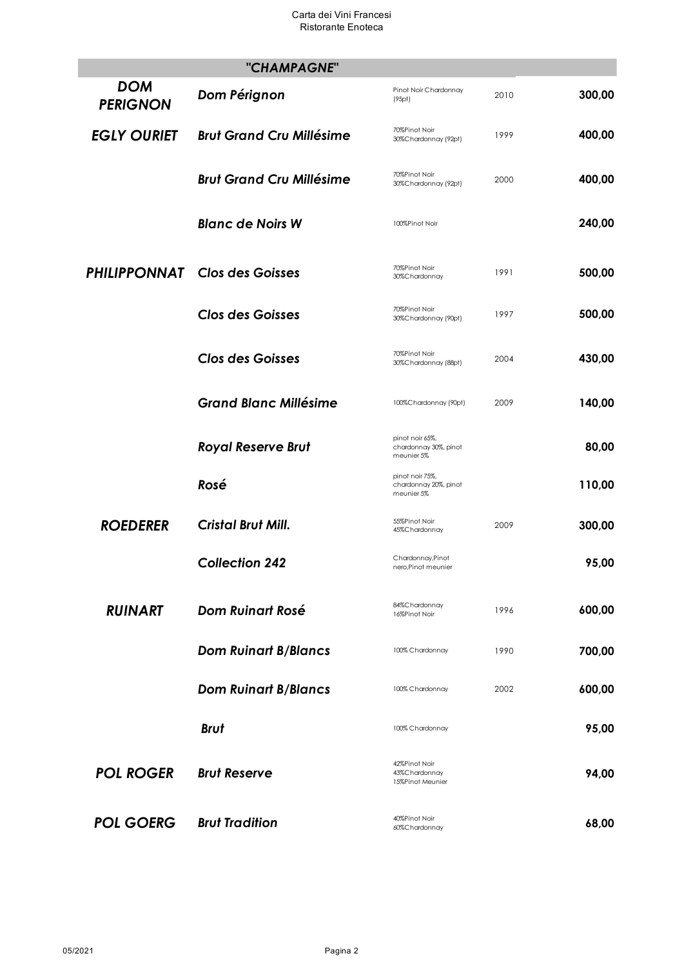#### Carta dei Vini Francesi Ristorante Enoteca

|                               | "CHAMPAGNE"                          |                                                        |      |        |
|-------------------------------|--------------------------------------|--------------------------------------------------------|------|--------|
| <b>DOM</b><br><b>PERIGNON</b> | Dom Pérignon                         | Pinot Noir Chardonnay<br>(95pt)                        | 2010 | 300,00 |
| <b>EGLY OURIET</b>            | <b>Brut Grand Cru Millésime</b>      | 70%Pinot Noir<br>30%Chardonnay (92pt)                  | 1999 | 400,00 |
|                               | <b>Brut Grand Cru Millésime</b>      | 70%Pinot Noir<br>30%Chardonnay (92pt)                  | 2000 | 400,00 |
|                               | <b>Blanc de Noirs W</b>              | 100%Pinot Noir                                         |      | 240,00 |
|                               | <b>PHILIPPONNAT</b> Clos des Goisses | 70%Pinot Noir<br>30%Chardonnay                         | 1991 | 500,00 |
|                               | <b>Clos des Goisses</b>              | 70%Pinot Noir<br>30%Chardonnay (90pt)                  | 1997 | 500,00 |
|                               | <b>Clos des Goisses</b>              | 70%Pinot Noir<br>30%Chardonnay (88pt)                  | 2004 | 430,00 |
|                               | <b>Grand Blanc Millésime</b>         | 100%Chardonnay (90pt)                                  | 2009 | 140,00 |
|                               | <b>Royal Reserve Brut</b>            | pinot noir 65%,<br>chardonnay 30%, pinot<br>meunier 5% |      | 80,00  |
|                               | Rosé                                 | pinot noir 75%,<br>chardonnay 20%, pinot<br>meunier 5% |      | 110,00 |
| <b>ROEDERER</b>               | <b>Cristal Brut Mill.</b>            | 55%Pinot Noir<br>45%Chardonnay                         | 2009 | 300,00 |
|                               | <b>Collection 242</b>                | Chardonnay, Pinot<br>nero, Pinot meunier               |      | 95,00  |
| <b>RUINART</b>                | <b>Dom Ruinart Rosé</b>              | 84%Chardonnay<br>16%Pinot Noir                         | 1996 | 600,00 |
|                               | <b>Dom Ruinart B/Blancs</b>          | 100% Chardonnay                                        | 1990 | 700,00 |
|                               | <b>Dom Ruinart B/Blancs</b>          | 100% Chardonnay                                        | 2002 | 600,00 |
|                               | <b>Brut</b>                          | 100% Chardonnay                                        |      | 95,00  |
| <b>POL ROGER</b>              | <b>Brut Reserve</b>                  | 42%Pinot Noir<br>43%Chardonnay<br>15%Pinot Meunier     |      | 94,00  |
| <b>POL GOERG</b>              | <b>Brut Tradition</b>                | 40%Pinot Noir<br>60%Chardonnay                         |      | 68,00  |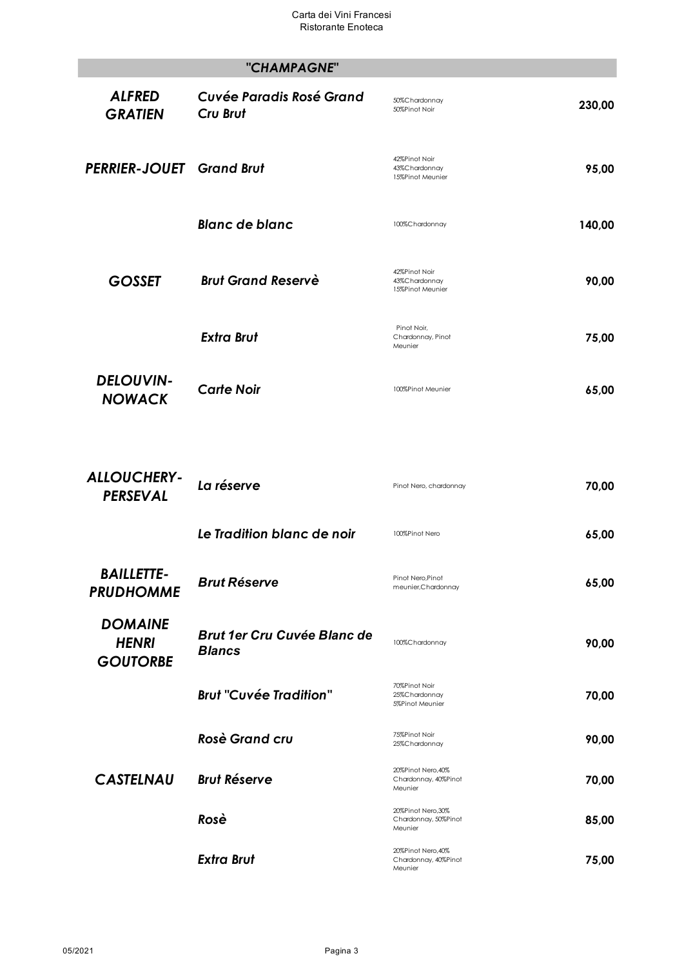### *"CHAMPAGNE" Cuvée Paradis Rosé Grand Cru Brut* 50%Chardonnay 50%Chardonnay<br>50%Pinot Noir **230,00** *PERRIER-JOUET Grand Brut* 42%Pinot Noir 43%Chardonnay 15%Pinot Meunier **95,00**

*ALFRED GRATIEN*

**Blanc de blanc** 100%Chardonnay **140,00 GOSSET** Brut Grand Reservè 43%Chardonnay 15%Pinot Meunier **90,00**  *Extra Brut*  Pinot Noir, Chardonnay, Pinot Meunier **75,00**

*DELOUVIN-***NOWACK Carte Noir Carte Algebra 100%Pinot Meunier <b>65,00** 

| <b>ALLOUCHERY-</b><br><b>PERSEVAL</b>             | La réserve                                          | Pinot Nero, chardonnay                                | 70,00 |
|---------------------------------------------------|-----------------------------------------------------|-------------------------------------------------------|-------|
|                                                   | Le Tradition blanc de noir                          | 100%Pinot Nero                                        | 65,00 |
| <b>BAILLETTE-</b><br><b>PRUDHOMME</b>             | <b>Brut Réserve</b>                                 | Pinot Nero, Pinot<br>meunier, Chardonnay              | 65,00 |
| <b>DOMAINE</b><br><b>HENRI</b><br><b>GOUTORBE</b> | <b>Brut 1er Cru Cuvée Blanc de</b><br><b>Blancs</b> | 100%Chardonnay                                        | 90,00 |
|                                                   | <b>Brut "Cuvée Tradition"</b>                       | 70%Pinot Noir<br>25%Chardonnay<br>5%Pinot Meunier     | 70,00 |
|                                                   | <b>Rosè Grand cru</b>                               | 75%Pinot Noir<br>25%Chardonnay                        | 90,00 |
| <b>CASTELNAU</b>                                  | <b>Brut Réserve</b>                                 | 20%Pinot Nero, 40%<br>Chardonnay, 40%Pinot<br>Meunier | 70,00 |
|                                                   | Rosè                                                | 20%Pinot Nero,30%<br>Chardonnay, 50%Pinot<br>Meunier  | 85,00 |
|                                                   | <b>Extra Brut</b>                                   | 20%Pinot Nero, 40%<br>Chardonnay, 40%Pinot<br>Meunier | 75,00 |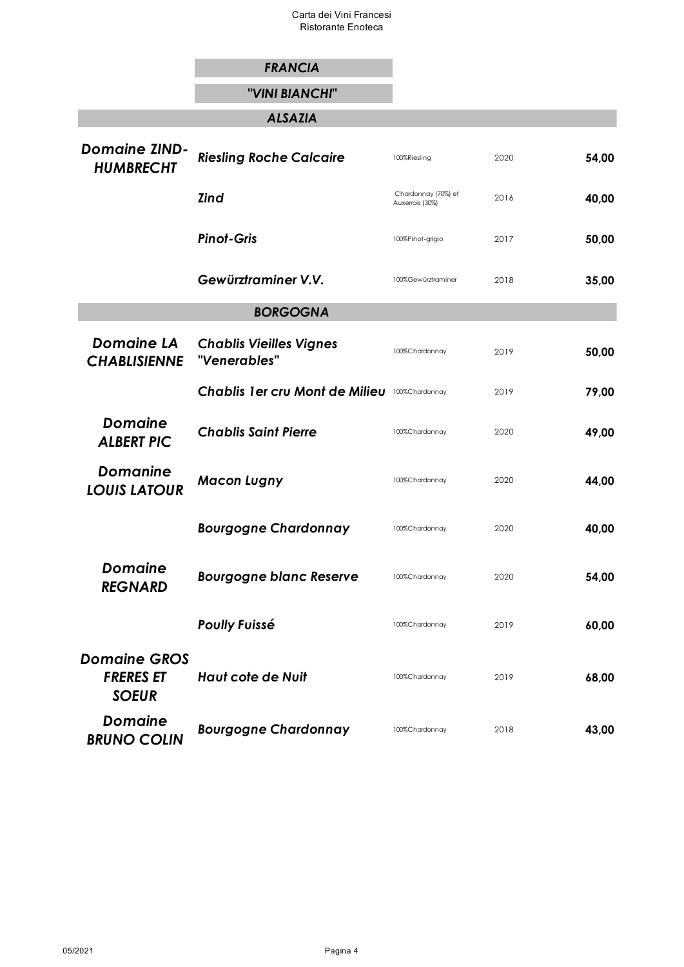Carta dei Vini Francesi Ristorante Enoteca

|                                                         | <b>FRANCIA</b>                                 |                                        |      |       |
|---------------------------------------------------------|------------------------------------------------|----------------------------------------|------|-------|
|                                                         | "VINI BIANCHI"                                 |                                        |      |       |
|                                                         | <b>ALSAZIA</b>                                 |                                        |      |       |
| <b>Domaine ZIND-</b><br><b>HUMBRECHT</b>                | <b>Riesling Roche Calcaire</b>                 | 100%Riesling                           | 2020 | 54,00 |
|                                                         | <b>Zind</b>                                    | Chardonnay (70%) et<br>Auxerrois (30%) | 2016 | 40,00 |
|                                                         | <b>Pinot-Gris</b>                              | 100%Pinot-grigio                       | 2017 | 50,00 |
|                                                         | Gewürztraminer V.V.                            | 100%Gewürztraminer                     | 2018 | 35,00 |
|                                                         | <b>BORGOGNA</b>                                |                                        |      |       |
| <b>Domaine LA</b><br><b>CHABLISIENNE</b>                | <b>Chablis Vieilles Vignes</b><br>"Venerables" | 100%Chardonnay                         | 2019 | 50,00 |
|                                                         | <b>Chablis 1er cru Mont de Milieu</b>          | 100%Chardonnay                         | 2019 | 79,00 |
| <b>Domaine</b><br><b>ALBERT PIC</b>                     | <b>Chablis Saint Pierre</b>                    | 100%Chardonnay                         | 2020 | 49,00 |
| <b>Domanine</b><br><b>LOUIS LATOUR</b>                  | <b>Macon Lugny</b>                             | 100%Chardonnay                         | 2020 | 44,00 |
|                                                         | <b>Bourgogne Chardonnay</b>                    | 100%Chardonnay                         | 2020 | 40,00 |
| <b>Domaine</b><br><b>REGNARD</b>                        | <b>Bourgogne blanc Reserve</b>                 | 100%Chardonnay                         | 2020 | 54,00 |
|                                                         | <b>Poully Fuissé</b>                           | 100%Chardonnay                         | 2019 | 60,00 |
| <b>Domaine GROS</b><br><b>FRERES ET</b><br><b>SOEUR</b> | <b>Haut cote de Nuit</b>                       | 100%Chardonnay                         | 2019 | 68,00 |
| <b>Domaine</b><br><b>BRUNO COLIN</b>                    | <b>Bourgogne Chardonnay</b>                    | 100%Chardonnay                         | 2018 | 43,00 |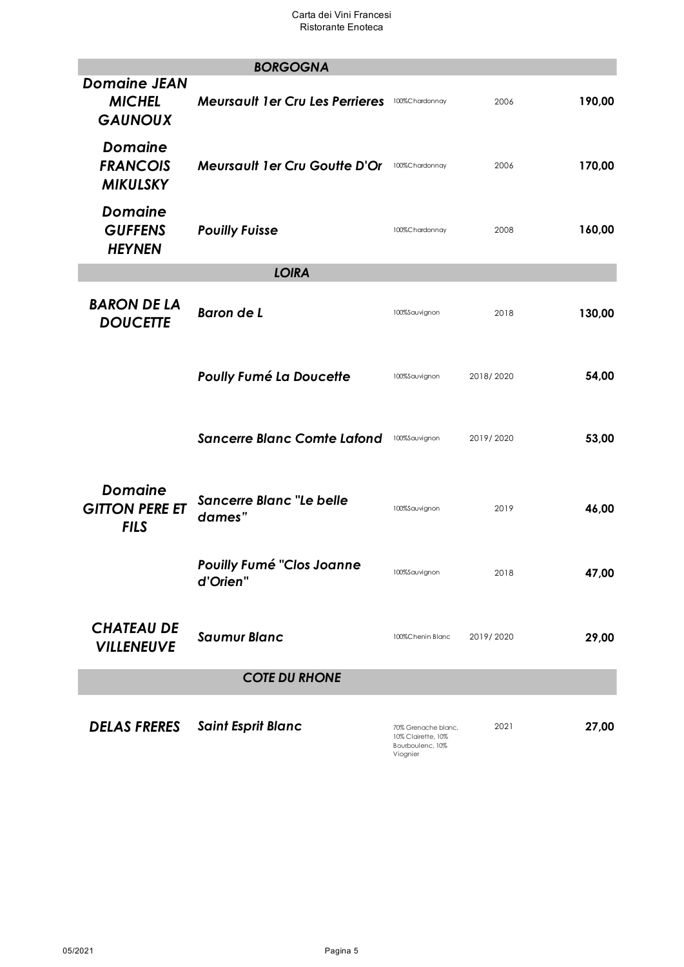|                                                        | <b>BORGOGNA</b>                              |                                                                           |           |        |
|--------------------------------------------------------|----------------------------------------------|---------------------------------------------------------------------------|-----------|--------|
| <b>Domaine JEAN</b><br><b>MICHEL</b><br><b>GAUNOUX</b> | <b>Meursault 1er Cru Les Perrieres</b>       | 100%Chardonnay                                                            | 2006      | 190,00 |
| <b>Domaine</b><br><b>FRANCOIS</b><br><b>MIKULSKY</b>   | <b>Meursault 1er Cru Goutte D'Or</b>         | 100%Chardonnay                                                            | 2006      | 170,00 |
| <b>Domaine</b><br><b>GUFFENS</b><br><b>HEYNEN</b>      | <b>Pouilly Fuisse</b>                        | 100%Chardonnay                                                            | 2008      | 160,00 |
|                                                        | <b>LOIRA</b>                                 |                                                                           |           |        |
| <b>BARON DE LA</b><br><b>DOUCETTE</b>                  | Baron de L                                   | 100%Sauvignon                                                             | 2018      | 130,00 |
|                                                        | <b>Poully Fumé La Doucette</b>               | 100%Sauvignon                                                             | 2018/2020 | 54,00  |
|                                                        | <b>Sancerre Blanc Comte Lafond</b>           | 100%Sauvignon                                                             | 2019/2020 | 53,00  |
| <b>Domaine</b><br><b>GITTON PERE ET</b><br><b>FILS</b> | <b>Sancerre Blanc "Le belle</b><br>dames"    | 100%Sauvignon                                                             | 2019      | 46,00  |
|                                                        | <b>Pouilly Fumé "Clos Joanne</b><br>d'Orien" | 100%Sauvignon                                                             | 2018      | 47,00  |
| <b>CHATEAU DE</b><br><b>VILLENEUVE</b>                 | <b>Saumur Blanc</b>                          | 100%Chenin Blanc                                                          | 2019/2020 | 29,00  |
|                                                        | <b>COTE DU RHONE</b>                         |                                                                           |           |        |
| <b>DELAS FRERES</b>                                    | <b>Saint Esprit Blanc</b>                    | 70% Grenache blanc,<br>10% Clairette, 10%<br>Bourboulenc, 10%<br>Viognier | 2021      | 27,00  |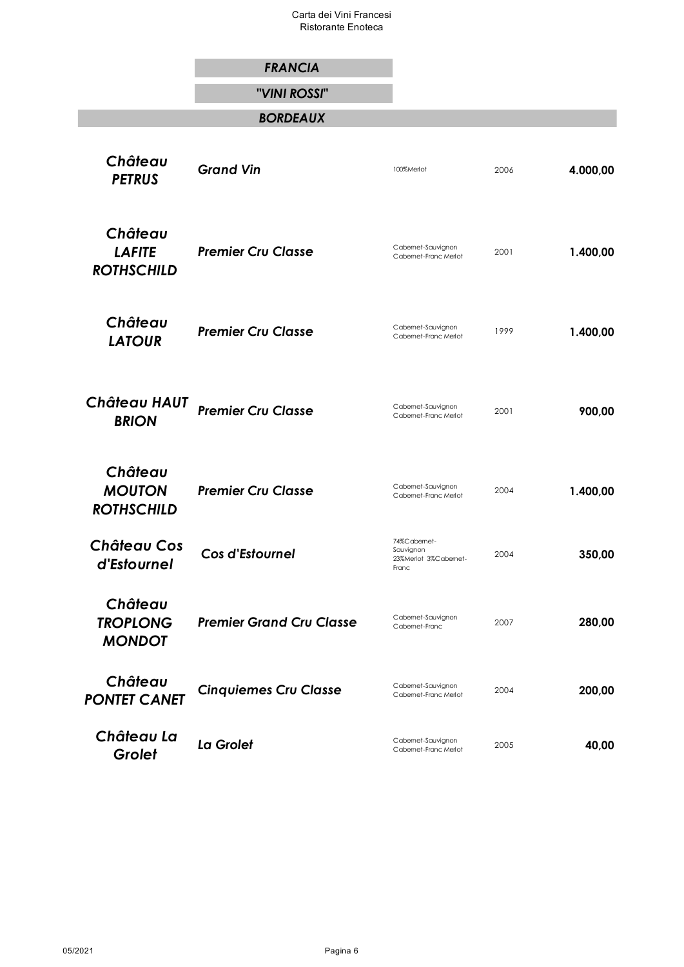Carta dei Vini Francesi Ristorante Enoteca

|                                               | <b>FRANCIA</b>                  |                                                           |      |          |
|-----------------------------------------------|---------------------------------|-----------------------------------------------------------|------|----------|
|                                               | "VINI ROSSI"                    |                                                           |      |          |
|                                               | <b>BORDEAUX</b>                 |                                                           |      |          |
| Château<br><b>PETRUS</b>                      | <b>Grand Vin</b>                | 100%Merlot                                                | 2006 | 4.000,00 |
| Château<br><b>LAFITE</b><br><b>ROTHSCHILD</b> | <b>Premier Cru Classe</b>       | Cabemet-Sauvignon<br>Cabemet-Franc Merlot                 | 2001 | 1.400,00 |
| Château<br><b>LATOUR</b>                      | <b>Premier Cru Classe</b>       | Cabemet-Sauvignon<br>Cabemet-Franc Merlot                 | 1999 | 1.400,00 |
| Château HAUT<br><b>BRION</b>                  | <b>Premier Cru Classe</b>       | Cabemet-Sauvignon<br>Cabemet-Franc Merlot                 | 2001 | 900,00   |
| Château<br><b>MOUTON</b><br><b>ROTHSCHILD</b> | <b>Premier Cru Classe</b>       | Cabemet-Sauvignon<br>Cabemet-Franc Merlot                 | 2004 | 1.400,00 |
| <b>Château Cos</b><br>d'Estournel             | Cos d'Estournel                 | 74%Cabemet-<br>Sauvignon<br>23%Merlot 3%Cabemet-<br>Franc | 2004 | 350,00   |
| Château<br><b>TROPLONG</b><br><b>MONDOT</b>   | <b>Premier Grand Cru Classe</b> | Cabemet-Sauvignon<br>Cabemet-Franc                        | 2007 | 280,00   |
| Château<br><b>PONTET CANET</b>                | <b>Cinquiemes Cru Classe</b>    | Cabemet-Sauvignon<br>Cabemet-Franc Merlot                 | 2004 | 200,00   |
| Château La<br>Grolet                          | La Grolet                       | Cabemet-Sauvignon<br>Cabemet-Franc Merlot                 | 2005 | 40,00    |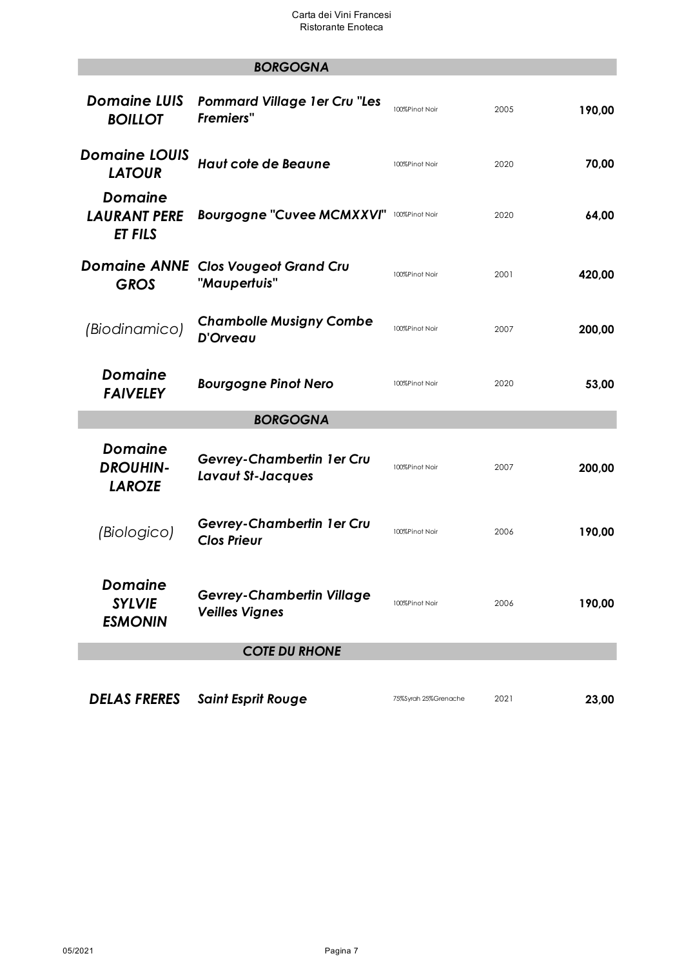*BORGOGNA*

# *Domaine LUIS BOILLOT Pommard Village 1er Cru "Les Fremiers"* 100%Pinot Noir <sup>2005</sup> **190,00** *Domaine LOUIS LATOUR Haut cote de Beaune* 100%Pinot Noir <sup>2020</sup> **70,00** *Domaine LAURANT PERE ET FILS* **Bourgogne "Cuvee MCMXXVI"** 100%Pinot Noir 2020 **64,00** *Domaine ANNE Clos Vougeot Grand Cru GROS "Maupertuis"* 100%Pinot Noir <sup>2001</sup> **420,00** *(Biodinamico) Chambolle Musigny Combe*  **D'Orveau** 100%Pinot Noir 2007 **200,00**<br>**D'Orveau** *Domaine*  **FAIVELEY Bourgogne Pinot Nero** 100%Pinot Noir 2020 **53,00** *BORGOGNA Domaine DROUHIN-LAROZE Gevrey-Chambertin 1er Cru Lavaut St-Jacques* 100%Pinot Noir <sup>2007</sup> **200,00**  *(Biologico) Gevrey-Chambertin 1er Cru Clos Prieur* 100%Pinot Noir <sup>2006</sup> **190,00** *Domaine SYLVIE ESMONIN Gevrey-Chambertin Village Veilles Vignes* 100%Pinot Noir <sup>2006</sup> **190,00** *COTE DU RHONE DELAS FRERES Saint Esprit Rouge* 75%Syrah 25%Grenache <sup>2021</sup> **23,00**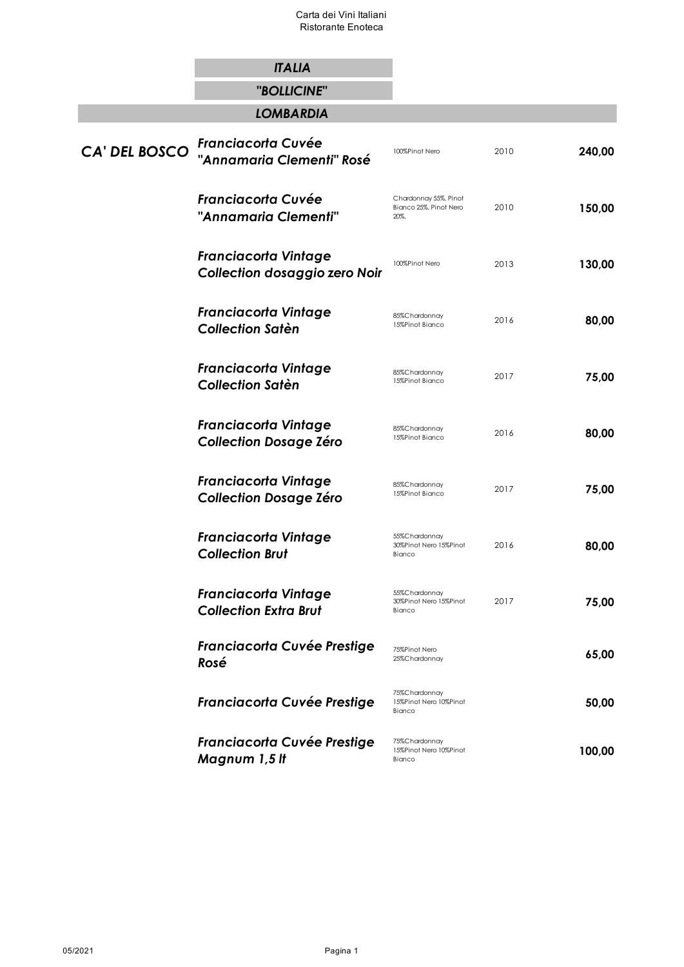# *ITALIA*

*"BOLLICINE"*

*LOMBARDIA*

| CA' DEL BOSCO | <b>Franciacorta Cuvée</b><br>"Annamaria Clementi" Rosé       | 100%Pinot Nero                                          | 2010 | 240,00 |
|---------------|--------------------------------------------------------------|---------------------------------------------------------|------|--------|
|               | <b>Franciacorta Cuvée</b><br>"Annamaria Clementi"            | Chardonnay 55%, Pinot<br>Bianco 25%, Pinot Nero<br>20%. | 2010 | 150,00 |
|               | <b>Franciacorta Vintage</b><br>Collection dosaggio zero Noir | 100%Pinot Nero                                          | 2013 | 130,00 |
|               | <b>Franciacorta Vintage</b><br><b>Collection Satèn</b>       | 85%Chardonnay<br>15%Pinot Bianco                        | 2016 | 80,00  |
|               | <b>Franciacorta Vintage</b><br><b>Collection Satèn</b>       | 85%Chardonnay<br>15%Pinot Bianco                        | 2017 | 75,00  |
|               | <b>Franciacorta Vintage</b><br><b>Collection Dosage Zéro</b> | 85%Chardonnay<br>15%Pinot Bianco                        | 2016 | 80,00  |
|               | <b>Franciacorta Vintage</b><br><b>Collection Dosage Zéro</b> | 85%Chardonnay<br>15%Pinot Bianco                        | 2017 | 75,00  |
|               | <b>Franciacorta Vintage</b><br><b>Collection Brut</b>        | 55%Chardonnay<br>30%Pinot Nero 15%Pinot<br>Bianco       | 2016 | 80,00  |
|               | <b>Franciacorta Vintage</b><br><b>Collection Extra Brut</b>  | 55%Chardonnay<br>30%Pinot Nero 15%Pinot<br>Bianco       | 2017 | 75,00  |
|               | Franciacorta Cuvée Prestige<br>Rosé                          | 75%Pinot Nero<br>25%Chardonnay                          |      | 65,00  |
|               | <b>Franciacorta Cuvée Prestige</b>                           | 75%Chardonnay<br>15%Pinot Nero 10%Pinot<br>Bianco       |      | 50,00  |
|               | <b>Franciacorta Cuvée Prestige</b><br>Magnum 1,5 It          | 75%Chardonnay<br>15%Pinot Nero 10%Pinot<br>Bianco       |      | 100,00 |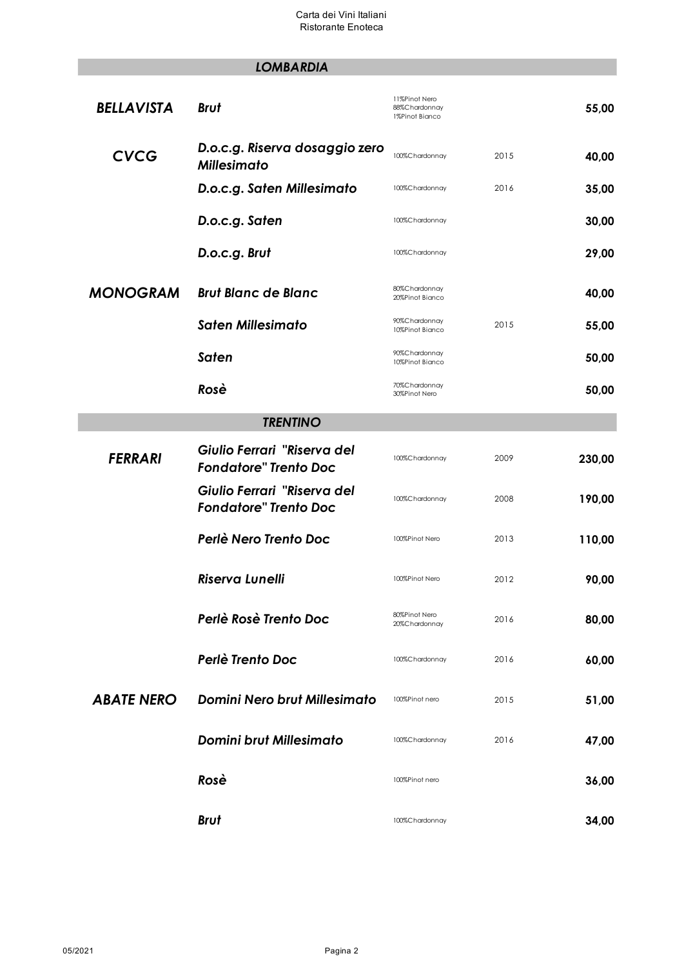# *LOMBARDIA*

| <b>BELLAVISTA</b> | <b>Brut</b>                                                 | 11%Pinot Nero<br>88%Chardonnay<br>1%Pinot Bianco |      | 55,00  |
|-------------------|-------------------------------------------------------------|--------------------------------------------------|------|--------|
| <b>CVCG</b>       | D.o.c.g. Riserva dosaggio zero<br><b>Millesimato</b>        | 100%Chardonnay                                   | 2015 | 40,00  |
|                   | D.o.c.g. Saten Millesimato                                  | 100%Chardonnay                                   | 2016 | 35,00  |
|                   | D.o.c.g. Saten                                              | 100%Chardonnay                                   |      | 30,00  |
|                   | D.o.c.g. Brut                                               | 100%Chardonnay                                   |      | 29,00  |
| <b>MONOGRAM</b>   | <b>Brut Blanc de Blanc</b>                                  | 80%Chardonnay<br>20%Pinot Bianco                 |      | 40,00  |
|                   | <b>Saten Millesimato</b>                                    | 90%Chardonnay<br>10%Pinot Bianco                 | 2015 | 55,00  |
|                   | Saten                                                       | 90%Chardonnay<br>10%Pinot Bianco                 |      | 50,00  |
|                   | Rosè                                                        | 70%Chardonnay<br>30%Pinot Nero                   |      | 50,00  |
|                   | <b>TRENTINO</b>                                             |                                                  |      |        |
| <b>FERRARI</b>    | Giulio Ferrari "Riserva del<br><b>Fondatore" Trento Doc</b> | 100%Chardonnay                                   | 2009 | 230,00 |
|                   | Giulio Ferrari "Riserva del<br><b>Fondatore" Trento Doc</b> | 100%Chardonnay                                   | 2008 | 190,00 |
|                   | Perlè Nero Trento Doc                                       | 100%Pinot Nero                                   | 2013 | 110,00 |
|                   | <b>Riserva Lunelli</b>                                      | 100%Pinot Nero                                   | 2012 | 90,00  |
|                   | Perlè Rosè Trento Doc                                       | 80%Pinot Nero<br>20%Chardonnay                   | 2016 | 80,00  |
|                   | Perlè Trento Doc                                            | 100%Chardonnay                                   | 2016 | 60,00  |
| <b>ABATE NERO</b> | <b>Domini Nero brut Millesimato</b>                         | 100%Pinot nero                                   | 2015 | 51,00  |
|                   | <b>Domini brut Millesimato</b>                              | 100%Chardonnay                                   | 2016 | 47,00  |
|                   | Rosè                                                        | 100%Pinot nero                                   |      | 36,00  |
|                   | <b>Brut</b>                                                 | 100%Chardonnay                                   |      | 34,00  |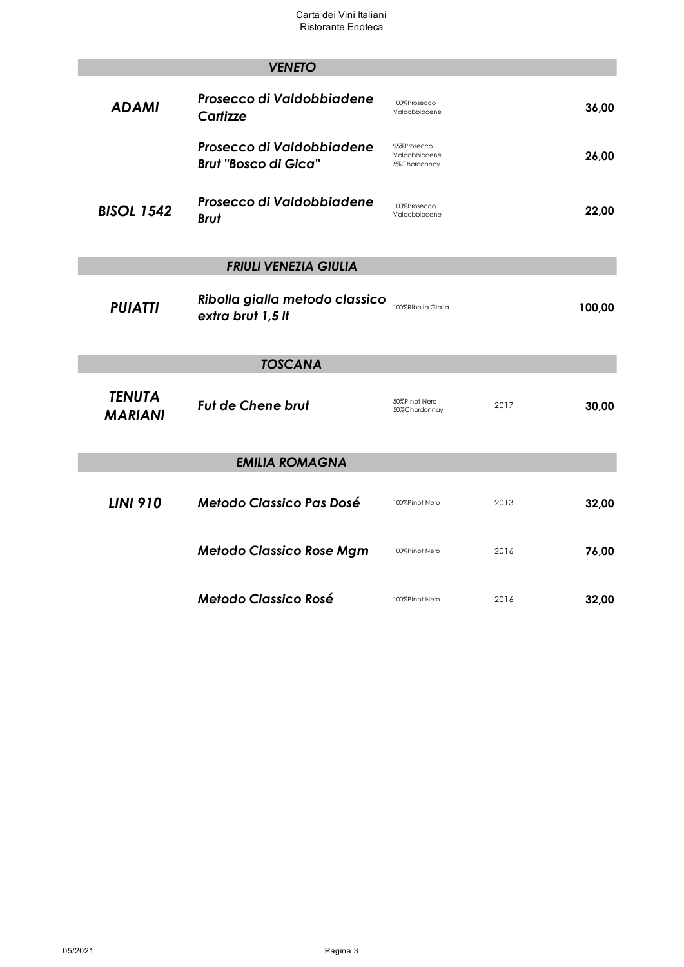|                                 | <b>VENETO</b>                                            |                                              |               |
|---------------------------------|----------------------------------------------------------|----------------------------------------------|---------------|
| <b>ADAMI</b>                    | Prosecco di Valdobbiadene<br>Cartizze                    | 100%Prosecco<br>Valdobbiadene                | 36,00         |
|                                 | Prosecco di Valdobbiadene<br><b>Brut "Bosco di Gica"</b> | 95%Prosecco<br>Valdobbiadene<br>5%Chardonnay | 26,00         |
| <b>BISOL 1542</b>               | Prosecco di Valdobbiadene<br><b>Brut</b>                 | 100%Prosecco<br>Valdobbiadene                | 22,00         |
|                                 | <b>FRIULI VENEZIA GIULIA</b>                             |                                              |               |
| <b>PUIATTI</b>                  | Ribolla gialla metodo classico<br>extra brut 1,5 lt      | 100%Ribolla Gialla                           | 100,00        |
|                                 | <b>TOSCANA</b>                                           |                                              |               |
| <b>TENUTA</b><br><b>MARIANI</b> | <b>Fut de Chene brut</b>                                 | 50%Pinot Nero<br>50%Chardonnay               | 2017<br>30,00 |
|                                 | <b>EMILIA ROMAGNA</b>                                    |                                              |               |
| <b>LINI 910</b>                 | <b>Metodo Classico Pas Dosé</b>                          | 100%Pinot Nero                               | 2013<br>32,00 |
|                                 | <b>Metodo Classico Rose Mgm</b>                          | 100%Pinot Nero                               | 2016<br>76,00 |
|                                 | <b>Metodo Classico Rosé</b>                              | 100%Pinot Nero                               | 2016<br>32,00 |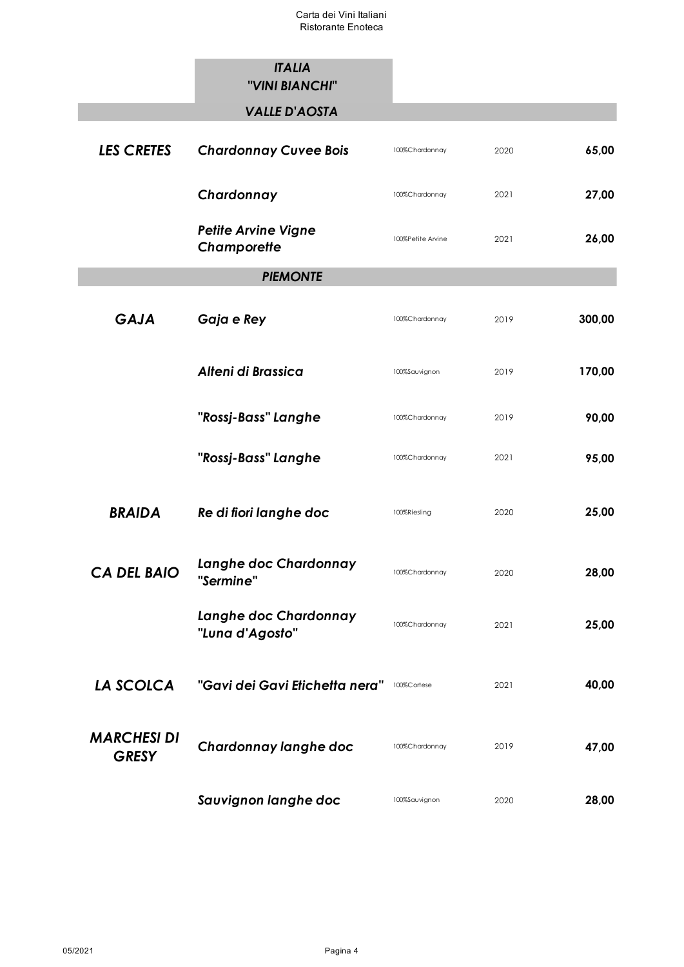|                                    | <b>ITALIA</b><br>"VINI BIANCHI"           |                   |      |        |
|------------------------------------|-------------------------------------------|-------------------|------|--------|
|                                    | <b>VALLE D'AOSTA</b>                      |                   |      |        |
| <b>LES CRETES</b>                  | <b>Chardonnay Cuvee Bois</b>              | 100%Chardonnay    | 2020 | 65,00  |
|                                    | Chardonnay                                | 100%Chardonnay    | 2021 | 27,00  |
|                                    | <b>Petite Arvine Vigne</b><br>Champorette | 100%Petite Arvine | 2021 | 26,00  |
|                                    | <b>PIEMONTE</b>                           |                   |      |        |
| <b>GAJA</b>                        | Gaja e Rey                                | 100%Chardonnay    | 2019 | 300,00 |
|                                    | Alteni di Brassica                        | 100%Sauvignon     | 2019 | 170,00 |
|                                    | "Rossj-Bass" Langhe                       | 100%Chardonnay    | 2019 | 90,00  |
|                                    | "Rossj-Bass" Langhe                       | 100%Chardonnay    | 2021 | 95,00  |
| <b>BRAIDA</b>                      | Re di fiori langhe doc                    | 100%Riesling      | 2020 | 25,00  |
| <b>CA DEL BAIO</b>                 | Langhe doc Chardonnay<br>"Sermine"        | 100%Chardonnay    | 2020 | 28,00  |
|                                    | Langhe doc Chardonnay<br>"Luna d'Agosto"  | 100%Chardonnay    | 2021 | 25,00  |
| LA SCOLCA                          | "Gavi dei Gavi Etichetta nera"            | 100%Cortese       | 2021 | 40,00  |
| <b>MARCHESI DI</b><br><b>GRESY</b> | Chardonnay langhe doc                     | 100%Chardonnay    | 2019 | 47,00  |
|                                    | Sauvignon langhe doc                      | 100%Sauvignon     | 2020 | 28,00  |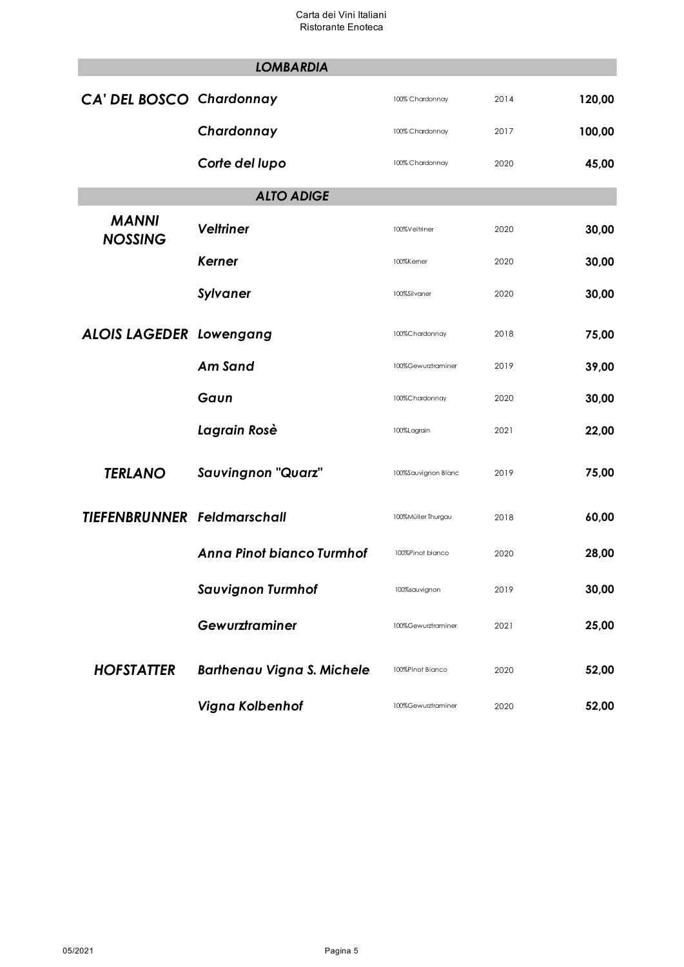|                                    | <b>LOMBARDIA</b>                  |                     |      |        |
|------------------------------------|-----------------------------------|---------------------|------|--------|
| <b>CA' DEL BOSCO Chardonnay</b>    |                                   | 100% Chardonnay     | 2014 | 120,00 |
|                                    | Chardonnay                        | 100% Chardonnay     | 2017 | 100,00 |
|                                    | Corte del lupo                    | 100% Chardonnay     | 2020 | 45,00  |
|                                    | <b>ALTO ADIGE</b>                 |                     |      |        |
| <b>MANNI</b><br><b>NOSSING</b>     | <b>Veltriner</b>                  | 100%Veltriner       | 2020 | 30,00  |
|                                    | Kerner                            | 100%Kemer           | 2020 | 30,00  |
|                                    | <b>Sylvaner</b>                   | 100%Silvaner        | 2020 | 30,00  |
| <b>ALOIS LAGEDER Lowengang</b>     |                                   | 100%Chardonnay      | 2018 | 75,00  |
|                                    | Am Sand                           | 100%Gewurztraminer  | 2019 | 39,00  |
|                                    | Gaun                              | 100%Chardonnay      | 2020 | 30,00  |
|                                    | Lagrain Rosè                      | 100%Lagrain         | 2021 | 22,00  |
| <b>TERLANO</b>                     | <b>Sauvingnon "Quarz"</b>         | 100%Sauvignon Blanc | 2019 | 75,00  |
| <b>TIEFENBRUNNER Feldmarschall</b> |                                   | 100%Müller Thurgau  | 2018 | 60,00  |
|                                    | <b>Anna Pinot bianco Turmhof</b>  | 100%Pinot bianco    | 2020 | 28,00  |
|                                    | <b>Sauvignon Turmhof</b>          | 100%sauvignon       | 2019 | 30,00  |
|                                    | Gewurztraminer                    | 100%Gewurztraminer  | 2021 | 25,00  |
| <b>HOFSTATTER</b>                  | <b>Barthenau Vigna S. Michele</b> | 100%Pinot Bianco    | 2020 | 52,00  |
|                                    | Vigna Kolbenhof                   | 100%Gewurztraminer  | 2020 | 52,00  |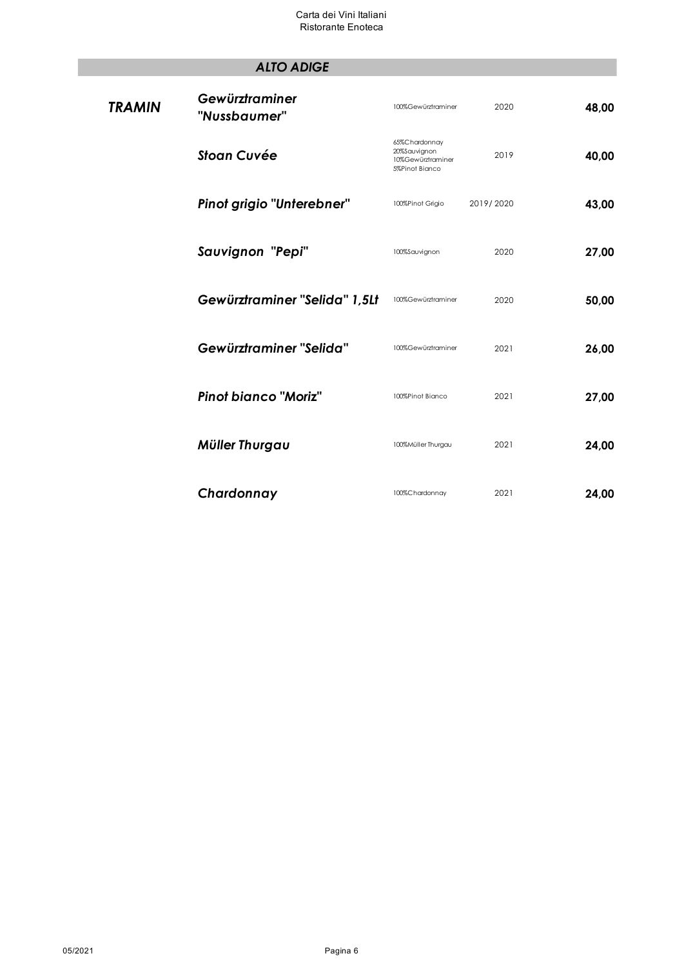# *ALTO ADIGE*

| <b>TRAMIN</b> | Gewürztraminer<br>"Nussbaumer" | 100%Gewürztraminer                                                   | 2020      | 48,00 |
|---------------|--------------------------------|----------------------------------------------------------------------|-----------|-------|
|               | <b>Stoan Cuvée</b>             | 65%Chardonnay<br>20%Sauvignon<br>10%Gewürztraminer<br>5%Pinot Bianco | 2019      | 40,00 |
|               | Pinot grigio "Unterebner"      | 100%Pinot Grigio                                                     | 2019/2020 | 43,00 |
|               | Sauvignon "Pepi"               | 100%Sauvignon                                                        | 2020      | 27,00 |
|               | Gewürztraminer "Selida" 1,5Lt  | 100%Gewürztraminer                                                   | 2020      | 50,00 |
|               | Gewürztraminer "Selida"        | 100%Gewürztraminer                                                   | 2021      | 26,00 |
|               | <b>Pinot bianco "Moriz"</b>    | 100%Pinot Bianco                                                     | 2021      | 27,00 |
|               | Müller Thurgau                 | 100%Müller Thurgau                                                   | 2021      | 24,00 |
|               | Chardonnay                     | 100%Chardonnay                                                       | 2021      | 24,00 |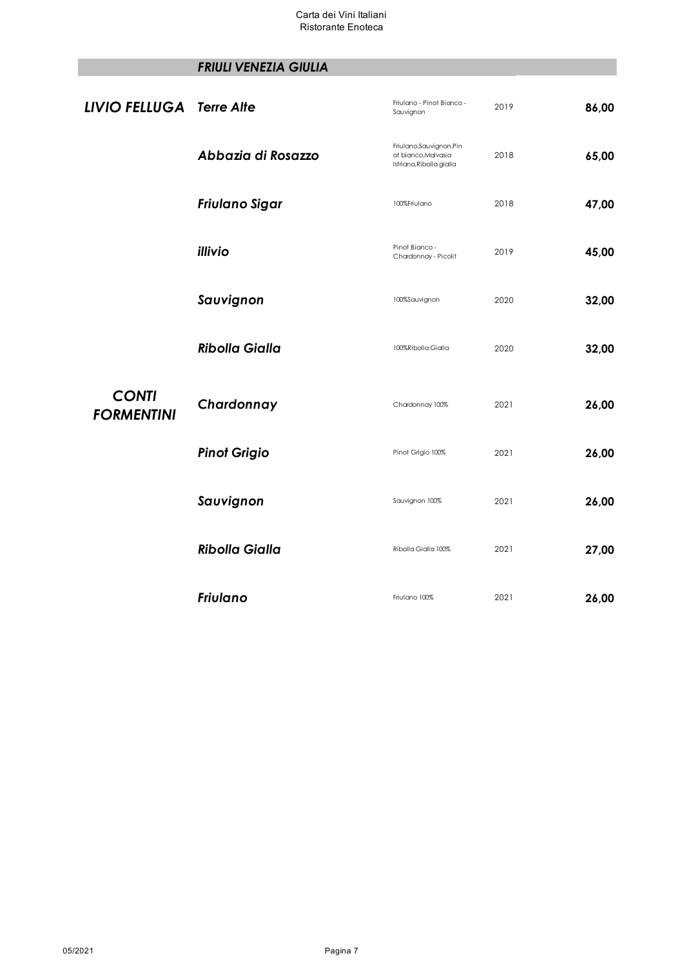# *FRIULI VENEZIA GIULIA*

| <b>LIVIO FELLUGA Terre Alte</b>   |                       | Friulano - Pinot Bianco -<br>Sauvignon                                      | 2019 | 86,00 |
|-----------------------------------|-----------------------|-----------------------------------------------------------------------------|------|-------|
|                                   | Abbazia di Rosazzo    | Friulano, Sauvignon, Pin<br>ot bianco, Malvasia<br>Istriana, Ribolla gialla | 2018 | 65,00 |
|                                   | Friulano Sigar        | 100%Friulano                                                                | 2018 | 47,00 |
|                                   | illivio               | Pinot Bianco -<br>Chardonnay - Picolit                                      | 2019 | 45,00 |
|                                   | Sauvignon             | 100%Sauvignon                                                               | 2020 | 32,00 |
|                                   | <b>Ribolla Gialla</b> | 100%Ribolla Gialla                                                          | 2020 | 32,00 |
| <b>CONTI</b><br><b>FORMENTINI</b> | Chardonnay            | Chardonnay 100%                                                             | 2021 | 26,00 |
|                                   | <b>Pinot Grigio</b>   | Pinot Grigio 100%                                                           | 2021 | 26,00 |
|                                   | Sauvignon             | Sauvignon 100%                                                              | 2021 | 26,00 |
|                                   | <b>Ribolla Gialla</b> | Ribolla Gialla 100%                                                         | 2021 | 27,00 |
|                                   | <b>Friulano</b>       | Friulano 100%                                                               | 2021 | 26,00 |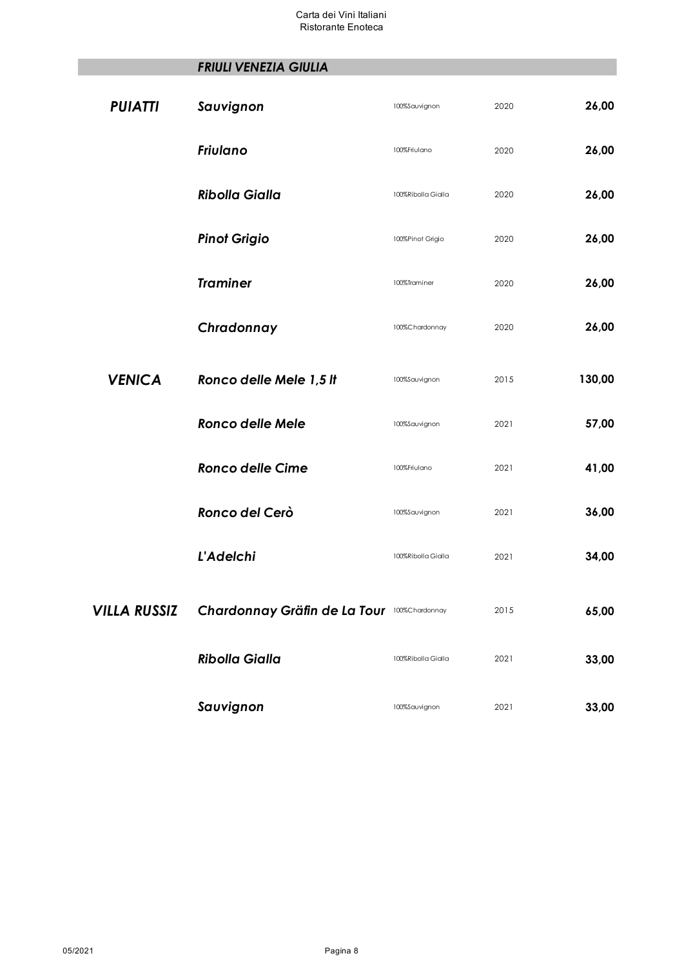# *FRIULI VENEZIA GIULIA*

| <b>PUIATTI</b>      | Sauvignon                                   | 100%Sauvignon      | 2020 | 26,00  |
|---------------------|---------------------------------------------|--------------------|------|--------|
|                     | <b>Friulano</b>                             | 100%Friulano       | 2020 | 26,00  |
|                     | <b>Ribolla Gialla</b>                       | 100%Ribolla Gialla | 2020 | 26,00  |
|                     | <b>Pinot Grigio</b>                         | 100%Pinot Grigio   | 2020 | 26,00  |
|                     | <b>Traminer</b>                             | 100%Traminer       | 2020 | 26,00  |
|                     | Chradonnay                                  | 100%Chardonnay     | 2020 | 26,00  |
| <b>VENICA</b>       | Ronco delle Mele 1,5 It                     | 100%Sauvignon      | 2015 | 130,00 |
|                     | <b>Ronco delle Mele</b>                     | 100%Sauvignon      | 2021 | 57,00  |
|                     | <b>Ronco delle Cime</b>                     | 100%Friulano       | 2021 | 41,00  |
|                     | Ronco del Cerò                              | 100%Sauvignon      | 2021 | 36,00  |
|                     | <b>L'Adelchi</b>                            | 100%Ribolla Gialla | 2021 | 34,00  |
| <b>VILLA RUSSIZ</b> | Chardonnay Gräfin de La Tour 100%Chardonnay |                    | 2015 | 65,00  |
|                     | <b>Ribolla Gialla</b>                       | 100%Ribolla Gialla | 2021 | 33,00  |
|                     | Sauvignon                                   | 100%Sauvignon      | 2021 | 33,00  |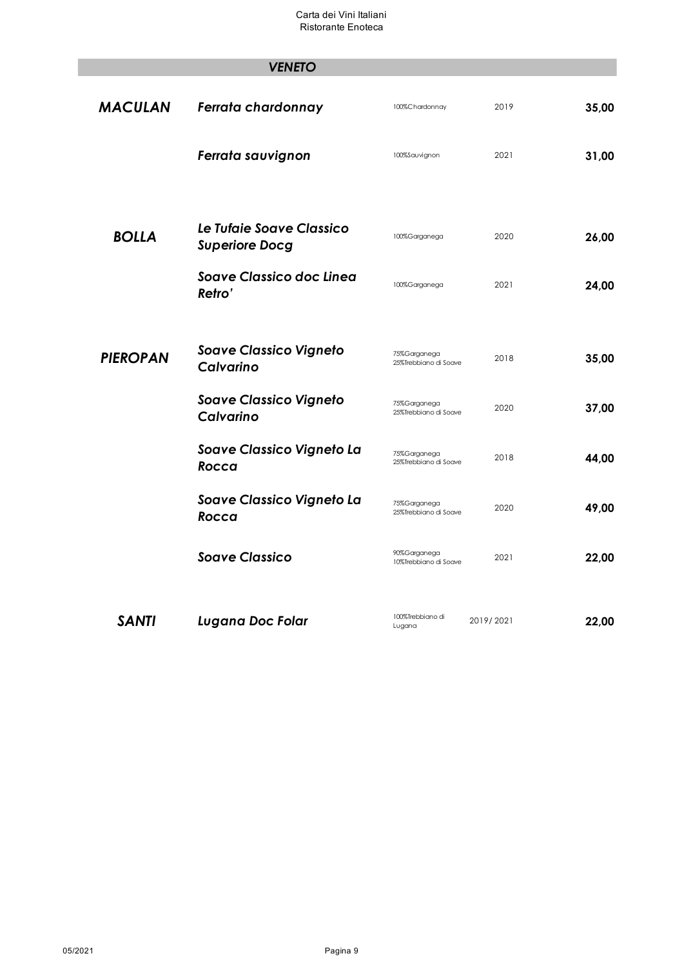|                 | <b>VENETO</b>                                     |                                       |           |       |
|-----------------|---------------------------------------------------|---------------------------------------|-----------|-------|
|                 |                                                   |                                       |           |       |
| <b>MACULAN</b>  | Ferrata chardonnay                                | 100%Chardonnay                        | 2019      | 35,00 |
|                 | Ferrata sauvignon                                 | 100%Sauvignon                         | 2021      | 31,00 |
|                 | Le Tufaie Soave Classico                          |                                       |           |       |
| <b>BOLLA</b>    | <b>Superiore Docg</b>                             | 100%Garganega                         | 2020      | 26,00 |
|                 | <b>Soave Classico doc Linea</b><br>Retro'         | 100%Garganega                         | 2021      | 24,00 |
|                 |                                                   |                                       |           |       |
| <b>PIEROPAN</b> | <b>Soave Classico Vigneto</b><br><b>Calvarino</b> | 75%Garganega<br>25%Trebbiano di Soave | 2018      | 35,00 |
|                 | <b>Soave Classico Vigneto</b><br>Calvarino        | 75%Garganega<br>25%Trebbiano di Soave | 2020      | 37,00 |
|                 | Soave Classico Vigneto La<br>Rocca                | 75%Garganega<br>25%Trebbiano di Soave | 2018      | 44.00 |
|                 | Soave Classico Vigneto La<br>Rocca                | 75%Garganega<br>25%Trebbiano di Soave | 2020      | 49,00 |
|                 | <b>Soave Classico</b>                             | 90%Garganega<br>10%Trebbiano di Soave | 2021      | 22,00 |
|                 |                                                   |                                       |           |       |
| <b>SANTI</b>    | <b>Lugana Doc Folar</b>                           | 100%Trebbiano di<br>Lugana            | 2019/2021 | 22,00 |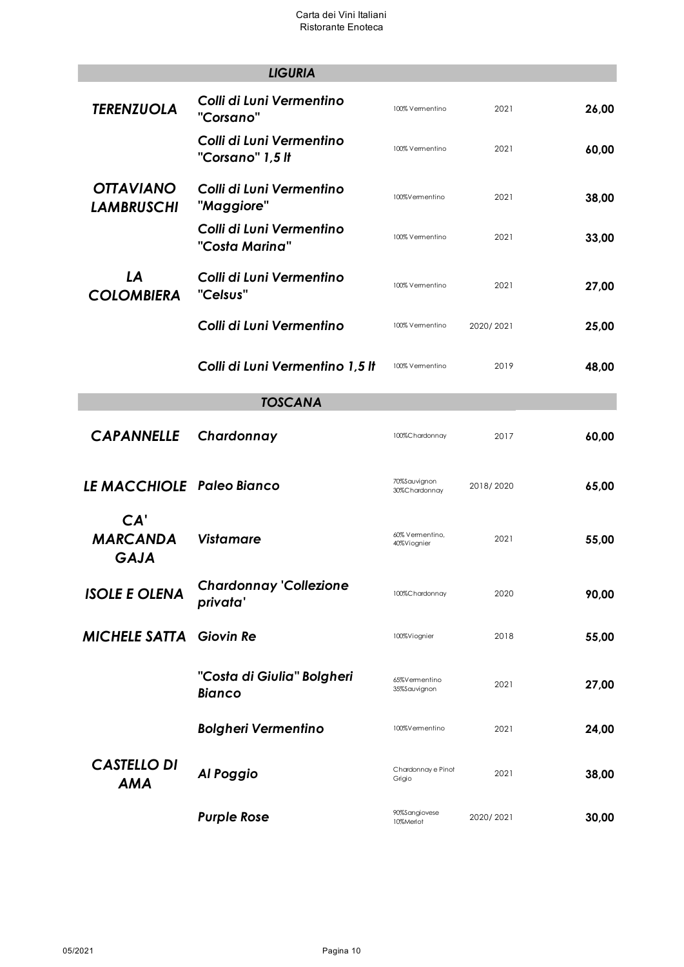|                                       | <b>LIGURIA</b>                               |                                |           |       |  |
|---------------------------------------|----------------------------------------------|--------------------------------|-----------|-------|--|
| <b>TERENZUOLA</b>                     | Colli di Luni Vermentino<br>"Corsano"        | 100% Vermentino                | 2021      | 26,00 |  |
|                                       | Colli di Luni Vermentino<br>"Corsano" 1,5 It | 100% Vermentino                | 2021      | 60,00 |  |
| <b>OTTAVIANO</b><br><b>LAMBRUSCHI</b> | Colli di Luni Vermentino<br>"Maggiore"       | 100%Vermentino                 | 2021      | 38,00 |  |
|                                       | Colli di Luni Vermentino<br>"Costa Marina"   | 100% Vermentino                | 2021      | 33,00 |  |
| LA<br><b>COLOMBIERA</b>               | Colli di Luni Vermentino<br>"Celsus"         | 100% Vermentino                | 2021      | 27,00 |  |
|                                       | Colli di Luni Vermentino                     | 100% Vermentino                | 2020/2021 | 25,00 |  |
|                                       | Colli di Luni Vermentino 1,5 lt              | 100% Vermentino                | 2019      | 48,00 |  |
| <b>TOSCANA</b>                        |                                              |                                |           |       |  |
| <b>CAPANNELLE</b>                     | Chardonnay                                   | 100%Chardonnay                 | 2017      | 60,00 |  |
| LE MACCHIOLE Paleo Bianco             |                                              | 70%Sauvignon<br>30%Chardonnay  | 2018/2020 | 65,00 |  |
| CA'<br><b>MARCANDA</b><br><b>GAJA</b> | <b>Vistamare</b>                             | 60% Vermentino,<br>40%Viognier | 2021      | 55,00 |  |
| <b>ISOLE E OLENA</b>                  | <b>Chardonnay 'Collezione</b><br>privata'    | 100%Chardonnay                 | 2020      | 90,00 |  |
| <b>MICHELE SATTA</b>                  | <b>Giovin Re</b>                             | 100%Viognier                   | 2018      | 55,00 |  |
|                                       | "Costa di Giulia" Bolgheri<br><b>Bianco</b>  | 65%Vermentino<br>35%Sauvignon  | 2021      | 27,00 |  |
|                                       | <b>Bolgheri Vermentino</b>                   | 100%Vermentino                 | 2021      | 24,00 |  |
| <b>CASTELLO DI</b><br><b>AMA</b>      | Al Poggio                                    | Chardonnay e Pinot<br>Grigio   | 2021      | 38,00 |  |
|                                       | <b>Purple Rose</b>                           | 90%Sangiovese<br>10%Merlot     | 2020/2021 | 30,00 |  |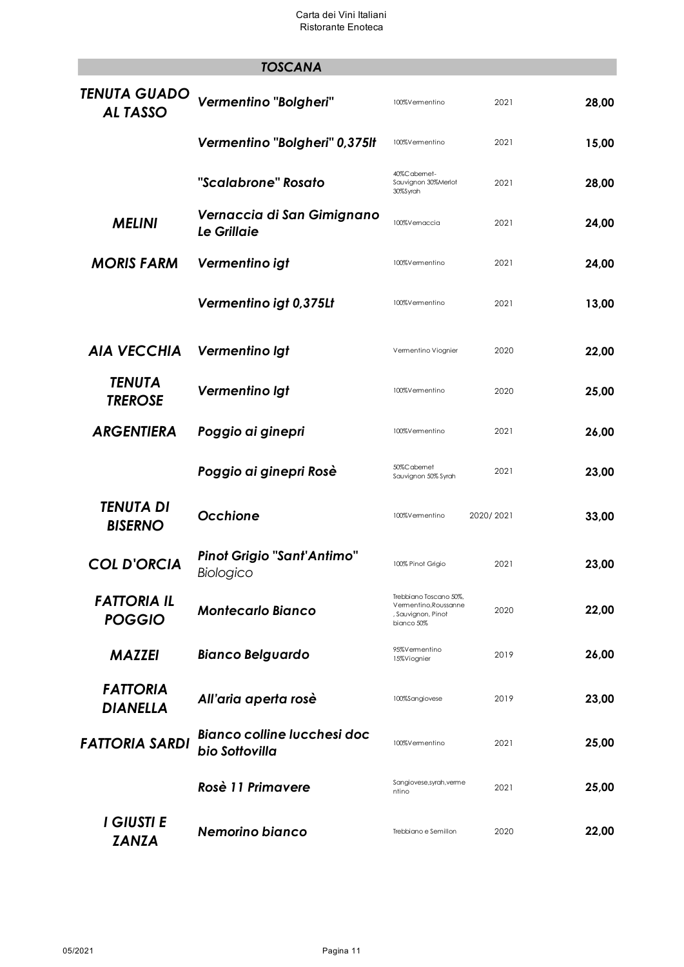|                                       | <b>TOSCANA</b>                                       |                                                                                     |           |       |
|---------------------------------------|------------------------------------------------------|-------------------------------------------------------------------------------------|-----------|-------|
| <b>TENUTA GUADO</b><br><b>ALTASSO</b> | Vermentino "Bolgheri"                                | 100%Vermentino                                                                      | 2021      | 28,00 |
|                                       | Vermentino "Bolgheri" 0,375It                        | 100%Vermentino                                                                      | 2021      | 15,00 |
|                                       | "Scalabrone" Rosato                                  | 40%Cabemet-<br>Sauvignon 30%Merlot<br>30%Syrah                                      | 2021      | 28,00 |
| <b>MELINI</b>                         | Vernaccia di San Gimignano<br><b>Le Grillaie</b>     | 100%Vemaccia                                                                        | 2021      | 24,00 |
| <b>MORIS FARM</b>                     | Vermentino igt                                       | 100%Vermentino                                                                      | 2021      | 24,00 |
|                                       | Vermentino igt 0,375Lt                               | 100%Vermentino                                                                      | 2021      | 13,00 |
| <b>AIA VECCHIA</b>                    | Vermentino Igt                                       | Vermentino Viognier                                                                 | 2020      | 22,00 |
| <b>TENUTA</b><br><b>TREROSE</b>       | Vermentino Igt                                       | 100%Vermentino                                                                      | 2020      | 25,00 |
| <b>ARGENTIERA</b>                     | Poggio ai ginepri                                    | 100%Vermentino                                                                      | 2021      | 26,00 |
|                                       | Poggio ai ginepri Rosè                               | 50%Cabemet<br>Sauvignon 50% Syrah                                                   | 2021      | 23,00 |
| TENUTA DI<br><b>BISERNO</b>           | Occhione                                             | 100%Vermentino                                                                      | 2020/2021 | 33,00 |
| <b>COL D'ORCIA</b>                    | <b>Pinot Grigio "Sant'Antimo"</b><br>Biologico       | 100% Pinot Grigio                                                                   | 2021      | 23,00 |
| <b>FATTORIA IL</b><br><b>POGGIO</b>   | <b>Montecarlo Bianco</b>                             | Trebbiano Toscano 50%,<br>Vermentino, Roussanne<br>, Sauvignon, Pinot<br>bianco 50% | 2020      | 22,00 |
| <b>MAZZEI</b>                         | <b>Bianco Belguardo</b>                              | 95%Vermentino<br>15%Viognier                                                        | 2019      | 26,00 |
| <b>FATTORIA</b><br><b>DIANELLA</b>    | All'aria aperta rosè                                 | 100%Sangiovese                                                                      | 2019      | 23,00 |
| <b>FATTORIA SARDI</b>                 | <b>Bianco colline lucchesi doc</b><br>bio Sottovilla | 100%Vermentino                                                                      | 2021      | 25,00 |
|                                       | Rosè 11 Primavere                                    | Sangiovese, syrah, verme<br>ntino                                                   | 2021      | 25,00 |
| I GIUSTI E<br><b>ZANZA</b>            | Nemorino bianco                                      | Trebbiano e Semillon                                                                | 2020      | 22,00 |

 $\overline{\phantom{a}}$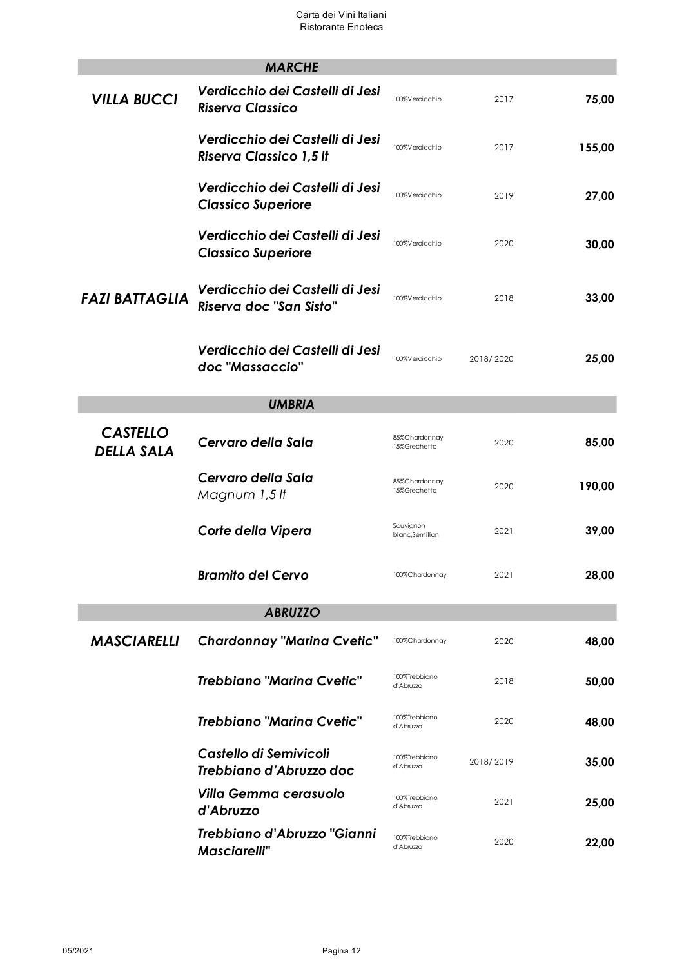|                                      | <b>MARCHE</b>                                                     |                               |           |        |  |  |  |
|--------------------------------------|-------------------------------------------------------------------|-------------------------------|-----------|--------|--|--|--|
| <b>VILLA BUCCI</b>                   | Verdicchio dei Castelli di Jesi<br><b>Riserva Classico</b>        | 100%Verdicchio                | 2017      | 75,00  |  |  |  |
|                                      | Verdicchio dei Castelli di Jesi<br><b>Riserva Classico 1,5 It</b> | 100%Verdicchio                | 2017      | 155,00 |  |  |  |
|                                      | Verdicchio dei Castelli di Jesi<br><b>Classico Superiore</b>      | 100%Verdicchio                | 2019      | 27,00  |  |  |  |
|                                      | Verdicchio dei Castelli di Jesi<br><b>Classico Superiore</b>      | 100%Verdicchio                | 2020      | 30,00  |  |  |  |
| <b>FAZI BATTAGLIA</b>                | Verdicchio dei Castelli di Jesi<br>Riserva doc "San Sisto"        | 100%Verdicchio                | 2018      | 33,00  |  |  |  |
|                                      | Verdicchio dei Castelli di Jesi<br>doc "Massaccio"                | 100%Verdicchio                | 2018/2020 | 25,00  |  |  |  |
|                                      | <b>UMBRIA</b>                                                     |                               |           |        |  |  |  |
| <b>CASTELLO</b><br><b>DELLA SALA</b> | Cervaro della Sala                                                | 85%Chardonnay<br>15%Grechetto | 2020      | 85,00  |  |  |  |
|                                      | Cervaro della Sala<br>Magnum 1,5 lt                               | 85%Chardonnay<br>15%Grechetto | 2020      | 190,00 |  |  |  |
|                                      | Corte della Vipera                                                | Sauvignon<br>blanc,Semillon   | 2021      | 39,00  |  |  |  |
|                                      | <b>Bramito del Cervo</b>                                          | 100%Chardonnay                | 2021      | 28,00  |  |  |  |
|                                      | <b>ABRUZZO</b>                                                    |                               |           |        |  |  |  |
| <b>MASCIARELLI</b>                   | <b>Chardonnay "Marina Cvetic"</b>                                 | 100%Chardonnay                | 2020      | 48,00  |  |  |  |
|                                      | <b>Trebbiano "Marina Cvetic"</b>                                  | 100%Trebbiano<br>d'Abruzzo    | 2018      | 50,00  |  |  |  |
|                                      | <b>Trebbiano "Marina Cvetic"</b>                                  | 100%Trebbiano<br>d'Abruzzo    | 2020      | 48,00  |  |  |  |
|                                      | Castello di Semivicoli<br>Trebbiano d'Abruzzo doc                 | 100%Trebbiano<br>d'Abruzzo    | 2018/2019 | 35,00  |  |  |  |
|                                      | <b>Villa Gemma cerasuolo</b><br>d'Abruzzo                         | 100%Trebbiano<br>d'Abruzzo    | 2021      | 25,00  |  |  |  |
|                                      | Trebbiano d'Abruzzo "Gianni<br><b>Masciarelli</b> "               | 100%Trebbiano<br>d'Abruzzo    | 2020      | 22,00  |  |  |  |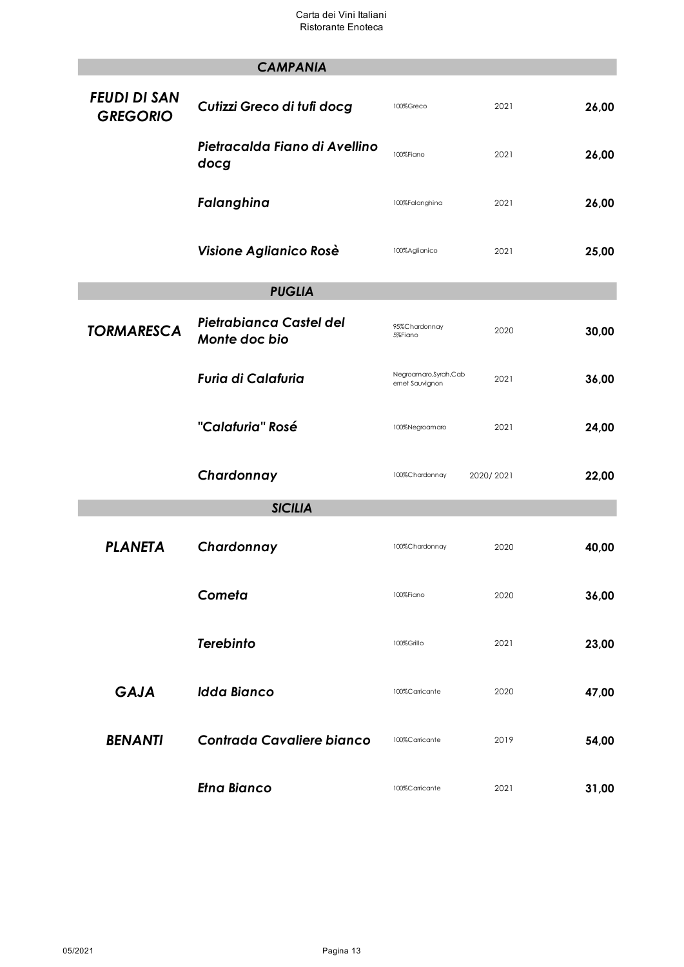|                                        | <b>CAMPANIA</b>                          |                                          |           |       |
|----------------------------------------|------------------------------------------|------------------------------------------|-----------|-------|
| <b>FEUDI DI SAN</b><br><b>GREGORIO</b> | Cutizzi Greco di tufi docg               | 100%Greco                                | 2021      | 26,00 |
|                                        | Pietracalda Fiano di Avellino<br>docg    | 100%Fiano                                | 2021      | 26,00 |
|                                        | Falanghina                               | 100%Falanghina                           | 2021      | 26,00 |
|                                        | Visione Aglianico Rosè                   | 100%Aglianico                            | 2021      | 25,00 |
|                                        | <b>PUGLIA</b>                            |                                          |           |       |
| <b>TORMARESCA</b>                      | Pietrabianca Castel del<br>Monte doc bio | 95%Chardonnay<br>5%Fiano                 | 2020      | 30,00 |
|                                        | <b>Furia di Calafuria</b>                | Negroamaro, Syrah, Cab<br>emet Sauvignon | 2021      | 36,00 |
|                                        | "Calafuria" Rosé                         | 100%Negroamaro                           | 2021      | 24,00 |
|                                        | Chardonnay                               | 100%Chardonnay                           | 2020/2021 | 22,00 |
|                                        | <b>SICILIA</b>                           |                                          |           |       |
| <b>PLANETA</b>                         | Chardonnay                               | 100%Chardonnay                           | 2020      | 40,00 |
|                                        | Cometa                                   | 100%Fiano                                | 2020      | 36,00 |
|                                        | <b>Terebinto</b>                         | 100%Grillo                               | 2021      | 23,00 |
| <b>GAJA</b>                            | <b>Idda Bianco</b>                       | 100%Carricante                           | 2020      | 47,00 |
| <b>BENANTI</b>                         | <b>Contrada Cavaliere bianco</b>         | 100%Carricante                           | 2019      | 54,00 |
|                                        | <b>Etna Bianco</b>                       | 100%Carricante                           | 2021      | 31,00 |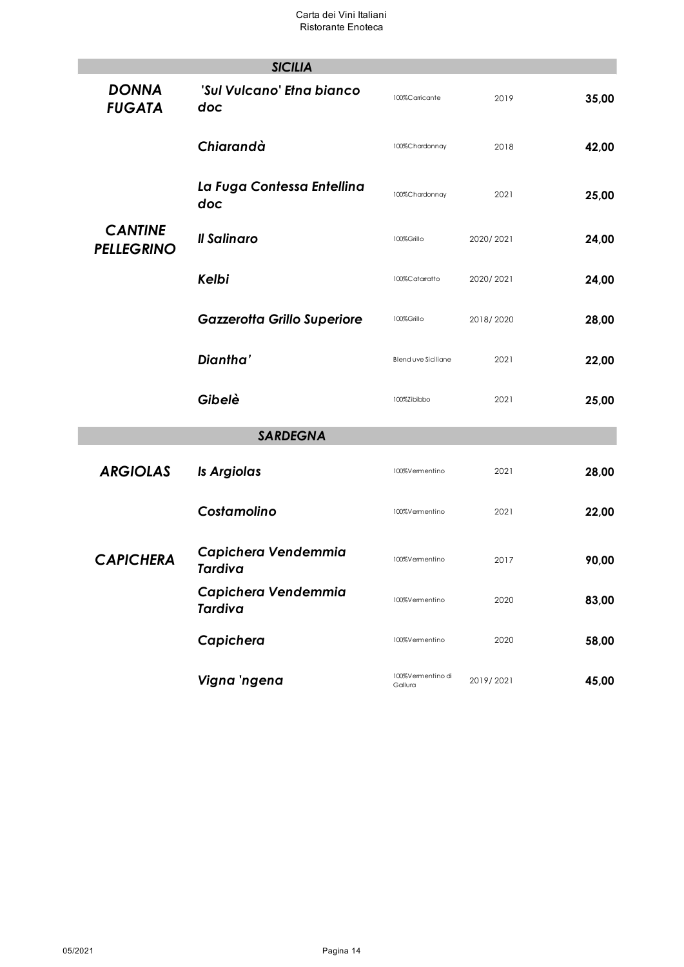|                                     | <b>SICILIA</b>                        |                              |           |       |
|-------------------------------------|---------------------------------------|------------------------------|-----------|-------|
| <b>DONNA</b><br><b>FUGATA</b>       | 'Sul Vulcano' Etna bianco<br>doc      | 100%Carricante               | 2019      | 35,00 |
|                                     | Chiarandà                             | 100%Chardonnay               | 2018      | 42,00 |
|                                     | La Fuga Contessa Entellina<br>doc     | 100%Chardonnay               | 2021      | 25,00 |
| <b>CANTINE</b><br><b>PELLEGRINO</b> | Il Salinaro                           | 100%Grillo                   | 2020/2021 | 24,00 |
|                                     | Kelbi                                 | 100%Catarratto               | 2020/2021 | 24,00 |
|                                     | <b>Gazzerotta Grillo Superiore</b>    | 100%Grillo                   | 2018/2020 | 28,00 |
|                                     | Diantha'                              | Blend uve Siciliane          | 2021      | 22,00 |
|                                     | Gibelè                                | 100%Zibibbo                  | 2021      | 25,00 |
|                                     | <b>SARDEGNA</b>                       |                              |           |       |
| <b>ARGIOLAS</b>                     | Is Argiolas                           | 100%Vermentino               | 2021      | 28,00 |
|                                     | Costamolino                           | 100%Vermentino               | 2021      | 22,00 |
| <b>CAPICHERA</b>                    | Capichera Vendemmia<br>Tardiva        | 100%Vermentino               | 2017      | 90,00 |
|                                     | Capichera Vendemmia<br><b>Tardiva</b> | 100%Vermentino               | 2020      | 83,00 |
|                                     | Capichera                             | 100%Vermentino               | 2020      | 58,00 |
|                                     | Vigna 'ngena                          | 100%Vermentino di<br>Gallura | 2019/2021 | 45,00 |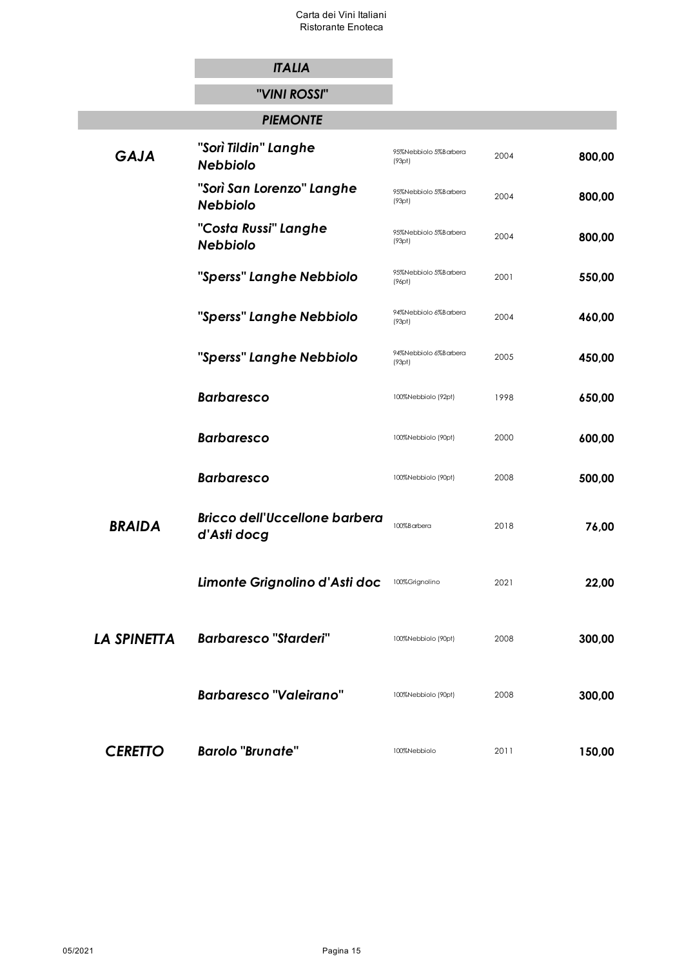|                    | <b>ITALIA</b>                                       |                                 |      |        |
|--------------------|-----------------------------------------------------|---------------------------------|------|--------|
|                    | "VINI ROSSI"                                        |                                 |      |        |
|                    | <b>PIEMONTE</b>                                     |                                 |      |        |
| <b>GAJA</b>        | "Sorì Tildin" Langhe<br><b>Nebbiolo</b>             | 95%Nebbiolo 5%Barbera<br>(93pt) | 2004 | 800,00 |
|                    | "Sorì San Lorenzo" Langhe<br><b>Nebbiolo</b>        | 95%Nebbiolo 5%Barbera<br>(93pt) | 2004 | 800,00 |
|                    | "Costa Russi" Langhe<br><b>Nebbiolo</b>             | 95%Nebbiolo 5%Barbera<br>(93pt) | 2004 | 800,00 |
|                    | "Sperss" Langhe Nebbiolo                            | 95%Nebbiolo 5%Barbera<br>(96pt) | 2001 | 550,00 |
|                    | "Sperss" Langhe Nebbiolo                            | 94%Nebbiolo 6%Barbera<br>(93pt) | 2004 | 460,00 |
|                    | "Sperss" Langhe Nebbiolo                            | 94%Nebbiolo 6%Barbera<br>(93pt) | 2005 | 450,00 |
|                    | <b>Barbaresco</b>                                   | 100%Nebbiolo (92pt)             | 1998 | 650,00 |
|                    | <b>Barbaresco</b>                                   | 100%Nebbiolo (90pt)             | 2000 | 600,00 |
|                    | <b>Barbaresco</b>                                   | 100%Nebbiolo (90pt)             | 2008 | 500,00 |
| <b>BRAIDA</b>      | <b>Bricco dell'Uccellone barbera</b><br>d'Asti docg | 100%Barbera                     | 2018 | 76,00  |
|                    | Limonte Grignolino d'Asti doc                       | 100%Grignolino                  | 2021 | 22,00  |
| <b>LA SPINETTA</b> | <b>Barbaresco "Starderi"</b>                        | 100%Nebbiolo (90pt)             | 2008 | 300,00 |
|                    | <b>Barbaresco "Valeirano"</b>                       | 100%Nebbiolo (90pt)             | 2008 | 300,00 |
| <b>CERETTO</b>     | <b>Barolo "Brunate"</b>                             | 100%Nebbiolo                    | 2011 | 150,00 |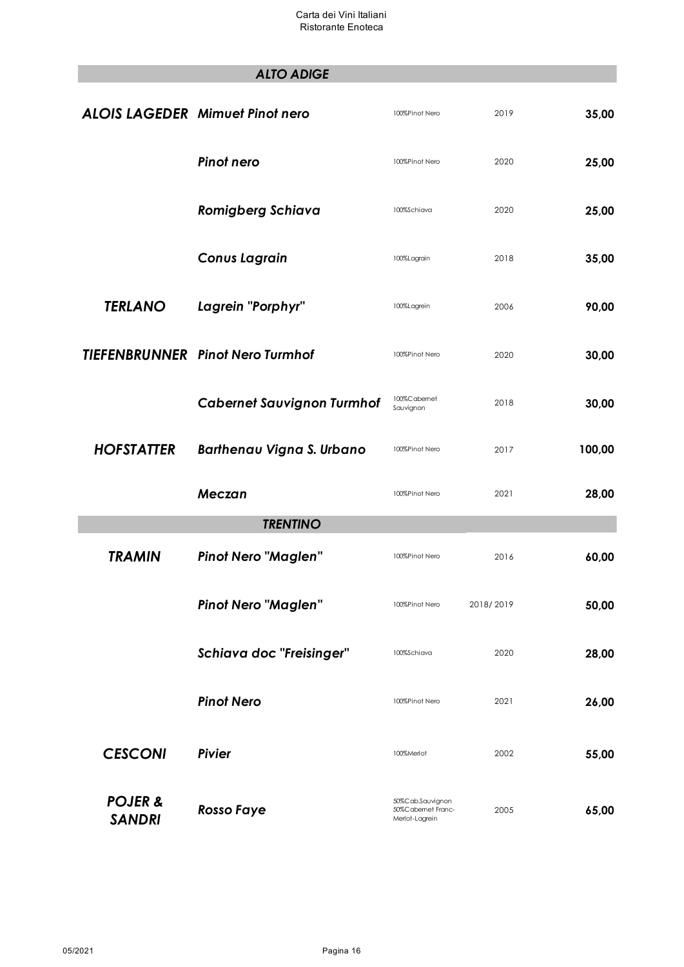|                                     | <b>ALTO ADIGE</b>                       |                                                         |           |        |
|-------------------------------------|-----------------------------------------|---------------------------------------------------------|-----------|--------|
|                                     | <b>ALOIS LAGEDER Mimuet Pinot nero</b>  | 100%Pinot Nero                                          | 2019      | 35,00  |
|                                     | Pinot nero                              | 100%Pinot Nero                                          | 2020      | 25,00  |
|                                     | <b>Romigberg Schiava</b>                | 100%Schiava                                             | 2020      | 25,00  |
|                                     | <b>Conus Lagrain</b>                    | 100%Lagrain                                             | 2018      | 35,00  |
| <b>TERLANO</b>                      | Lagrein "Porphyr"                       | 100%Lagrein                                             | 2006      | 90,00  |
|                                     | <b>TIEFENBRUNNER</b> Pinot Nero Turmhof | 100%Pinot Nero                                          | 2020      | 30,00  |
|                                     | <b>Cabernet Sauvignon Turmhof</b>       | 100%Cabernet<br>Sauvignon                               | 2018      | 30,00  |
| <b>HOFSTATTER</b>                   | <b>Barthenau Vigna S. Urbano</b>        | 100%Pinot Nero                                          | 2017      | 100,00 |
|                                     | <b>Meczan</b>                           | 100%Pinot Nero                                          | 2021      | 28,00  |
|                                     | <b>TRENTINO</b>                         |                                                         |           |        |
| <b>TRAMIN</b>                       | <b>Pinot Nero "Maglen"</b>              | 100%Pinot Nero                                          | 2016      | 60,00  |
|                                     | <b>Pinot Nero "Maglen"</b>              | 100%Pinot Nero                                          | 2018/2019 | 50,00  |
|                                     | Schiava doc "Freisinger"                | 100%Schiava                                             | 2020      | 28,00  |
|                                     | <b>Pinot Nero</b>                       | 100%Pinot Nero                                          | 2021      | 26,00  |
| <b>CESCONI</b>                      | <b>Pivier</b>                           | 100%Merlot                                              | 2002      | 55,00  |
| <b>POJER &amp;</b><br><b>SANDRI</b> | <b>Rosso Faye</b>                       | 50%Cab.Sauvignon<br>50%Cabemet Franc-<br>Merlot-Lagrein | 2005      | 65,00  |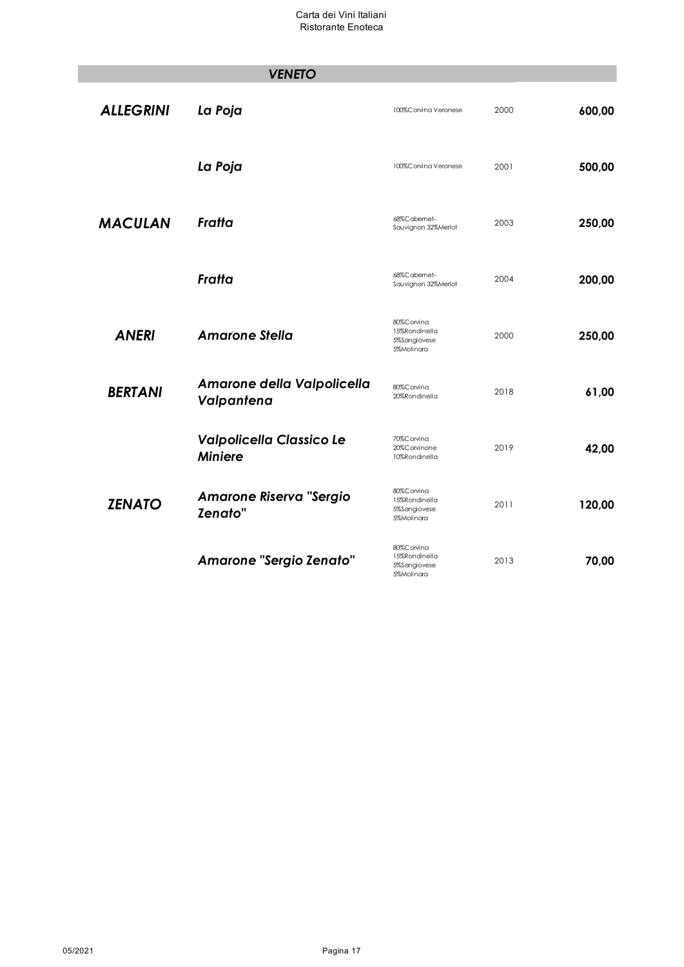|                  | <b>VENETO</b>                                    |                                                           |      |        |
|------------------|--------------------------------------------------|-----------------------------------------------------------|------|--------|
| <b>ALLEGRINI</b> | La Poja                                          | 100%Corvina Veronese                                      | 2000 | 600,00 |
|                  | La Poja                                          | 100%Corvina Veronese                                      | 2001 | 500,00 |
| <b>MACULAN</b>   | Fratta                                           | 68%C abemet-<br>Sauvignon 32%Merlot                       | 2003 | 250,00 |
|                  | Fratta                                           | 68%Cabemet-<br>Sauvignon 32%Merlot                        | 2004 | 200,00 |
| <b>ANERI</b>     | <b>Amarone Stella</b>                            | 80%Corvina<br>15%Rondinella<br>5%Sangiovese<br>5%Molinara | 2000 | 250,00 |
| <b>BERTANI</b>   | Amarone della Valpolicella<br>Valpantena         | 80%Corvina<br>20%Rondinella                               | 2018 | 61,00  |
|                  | Valpolicella Classico Le<br><b>Miniere</b>       | 70%Corvina<br>20%Corvinone<br>10%Rondinella               | 2019 | 42,00  |
| <b>ZENATO</b>    | <b>Amarone Riserva "Sergio</b><br><b>Zenato"</b> | 80%Corvina<br>15%Rondinella<br>5%Sangiovese<br>5%Molinara | 2011 | 120,00 |
|                  | <b>Amarone "Sergio Zenato"</b>                   | 80%Corvina<br>15%Rondinella<br>5%Sangiovese<br>5%Molinara | 2013 | 70,00  |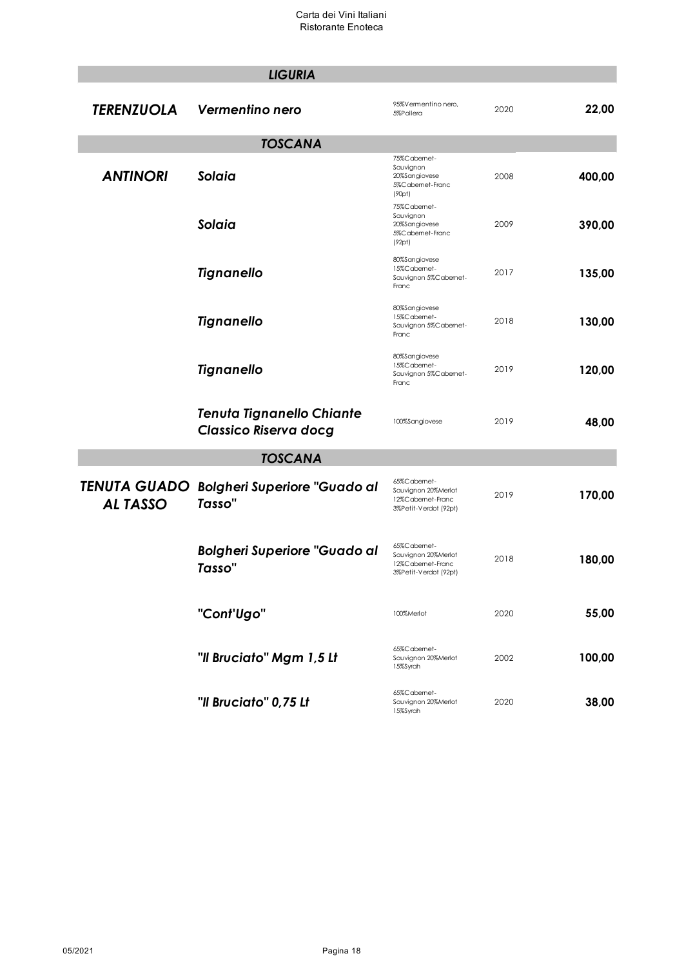|                   | <b>LIGURIA</b>                                            |                                                                                 |      |        |
|-------------------|-----------------------------------------------------------|---------------------------------------------------------------------------------|------|--------|
| <b>TERENZUOLA</b> | Vermentino nero                                           | 95%Vermentino nero,<br>5%Pollera                                                | 2020 | 22,00  |
|                   | <b>TOSCANA</b>                                            |                                                                                 |      |        |
| <b>ANTINORI</b>   | Solaia                                                    | 75%C abemet-<br>Sauvignon<br>20%Sangiovese<br>5%C abernet-Franc<br>(90pt)       | 2008 | 400,00 |
|                   | Solaia                                                    | 75%Cabemet-<br>Sauvignon<br>20%Sangiovese<br>5%C abernet-Franc<br>(92pt)        | 2009 | 390,00 |
|                   | <b>Tignanello</b>                                         | 80%Sangiovese<br>15%Cabemet-<br>Sauvignon 5%Cabemet-<br>Franc                   | 2017 | 135,00 |
|                   | <b>Tignanello</b>                                         | 80%Sangiovese<br>15%Cabemet-<br>Sauvignon 5%Cabemet-<br>Franc                   | 2018 | 130,00 |
|                   | <b>Tignanello</b>                                         | 80%Sangiovese<br>15%Cabemet-<br>Sauvignon 5%Cabemet-<br>Franc                   | 2019 | 120,00 |
|                   | <b>Tenuta Tignanello Chiante</b><br>Classico Riserva docg | 100%Sangiovese                                                                  | 2019 | 48,00  |
|                   | <b>TOSCANA</b>                                            |                                                                                 |      |        |
| <b>ALTASSO</b>    | TENUTA GUADO Bolgheri Superiore "Guado al<br>Tasso"       | 65%Cabemet-<br>Sauvignon 20%Merlot<br>12%Cabemet-Franc<br>3%Petit-Verdot (92pt) | 2019 | 170,00 |
|                   | <b>Bolgheri Superiore "Guado al</b><br>Tasso"             | 65%Cabemet-<br>Sauvignon 20%Merlot<br>12%Cabemet-Franc<br>3%Petit-Verdot (92pt) | 2018 | 180,00 |
|                   | "Cont'Ugo"                                                | 100%Merlot                                                                      | 2020 | 55,00  |
|                   | "Il Bruciato" Mgm 1,5 Lt                                  | 65%Cabemet-<br>Sauvignon 20%Merlot<br>15%Syrah                                  | 2002 | 100,00 |
|                   | "Il Bruciato" 0,75 Lt                                     | 65%Cabemet-<br>Sauvignon 20%Merlot<br>15%Syrah                                  | 2020 | 38,00  |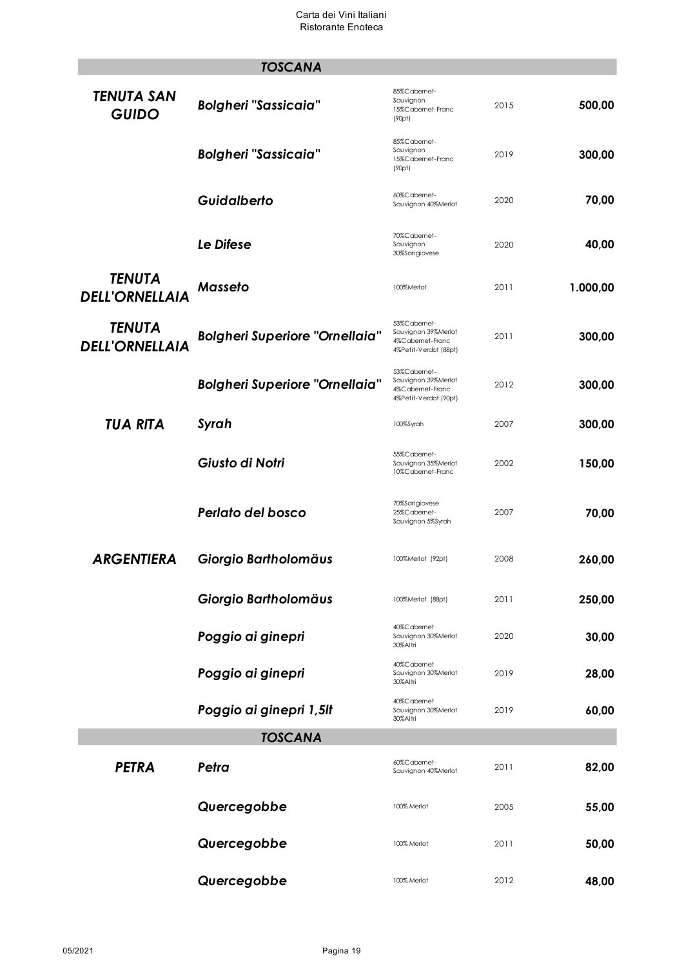|                                        | <b>TOSCANA</b>                        |                                                                                  |      |          |
|----------------------------------------|---------------------------------------|----------------------------------------------------------------------------------|------|----------|
| TENUTA SAN<br><b>GUIDO</b>             | <b>Bolgheri "Sassicaia"</b>           | 85%Cabemet-<br>Sauvignon<br>15%Cabemet-Franc<br>(90pt)                           | 2015 | 500,00   |
|                                        | <b>Bolgheri "Sassicaia"</b>           | 85%Cabemet-<br>Sauvignon<br>15%Cabemet-Franc<br>(90pt)                           | 2019 | 300,00   |
|                                        | Guidalberto                           | 60%Cabemet-<br>Sauvignon 40%Merlot                                               | 2020 | 70,00    |
|                                        | Le Difese                             | 70%Cabemet-<br>Sauvignon<br>30%Sangiovese                                        | 2020 | 40,00    |
| <b>TENUTA</b><br><b>DELL'ORNELLAIA</b> | <b>Masseto</b>                        | 100%Merlot                                                                       | 2011 | 1.000,00 |
| <b>TENUTA</b><br><b>DELL'ORNELLAIA</b> | <b>Bolgheri Superiore "Ornellaia"</b> | 53%Cabemet-<br>Sauvignon 39%Merlot<br>4%C abernet-Franc<br>4%Petit-Verdot (88pt) | 2011 | 300,00   |
|                                        | <b>Bolgheri Superiore "Ornellaia"</b> | 53%Cabemet-<br>Sauvignon 39%Merlot<br>4%C abernet-Franc<br>4%Petit-Verdot (90pt) | 2012 | 300,00   |
| <b>TUA RITA</b>                        | Syrah                                 | 100%Syrah                                                                        | 2007 | 300,00   |
|                                        | Giusto di Notri                       | 55%Cabemet-<br>Sauvignon 35%Merlot<br>10%Cabemet-Franc                           | 2002 | 150,00   |
|                                        | Perlato del bosco                     | 70%Sangiovese<br>25%C abemet-<br>Sauvignon 5%Syrah                               | 2007 | 70,00    |
| <b>ARGENTIERA</b>                      | Giorgio Bartholomäus                  | 100%Merlot (92pt)                                                                | 2008 | 260,00   |
|                                        | Giorgio Bartholomäus                  | 100%Merlot (88pt)                                                                | 2011 | 250,00   |
|                                        | Poggio ai ginepri                     | 40%Cabemet<br>Sauvignon 30%Merlot<br>30%Altri                                    | 2020 | 30,00    |
|                                        | Poggio ai ginepri                     | 40%Cabemet<br>Sauvignon 30%Merlot<br>30%Altri                                    | 2019 | 28,00    |
|                                        | Poggio ai ginepri 1,5It               | 40%Cabemet<br>Sauvignon 30%Merlot<br>30%Altri                                    | 2019 | 60,00    |
|                                        | <b>TOSCANA</b>                        |                                                                                  |      |          |
| <b>PETRA</b>                           | Petra                                 | 60%Cabemet-<br>Sauvignon 40%Merlot                                               | 2011 | 82,00    |
|                                        | Quercegobbe                           | 100% Merlot                                                                      | 2005 | 55,00    |
|                                        | Quercegobbe                           | 100% Merlot                                                                      | 2011 | 50,00    |
|                                        | Quercegobbe                           | 100% Merlot                                                                      | 2012 | 48,00    |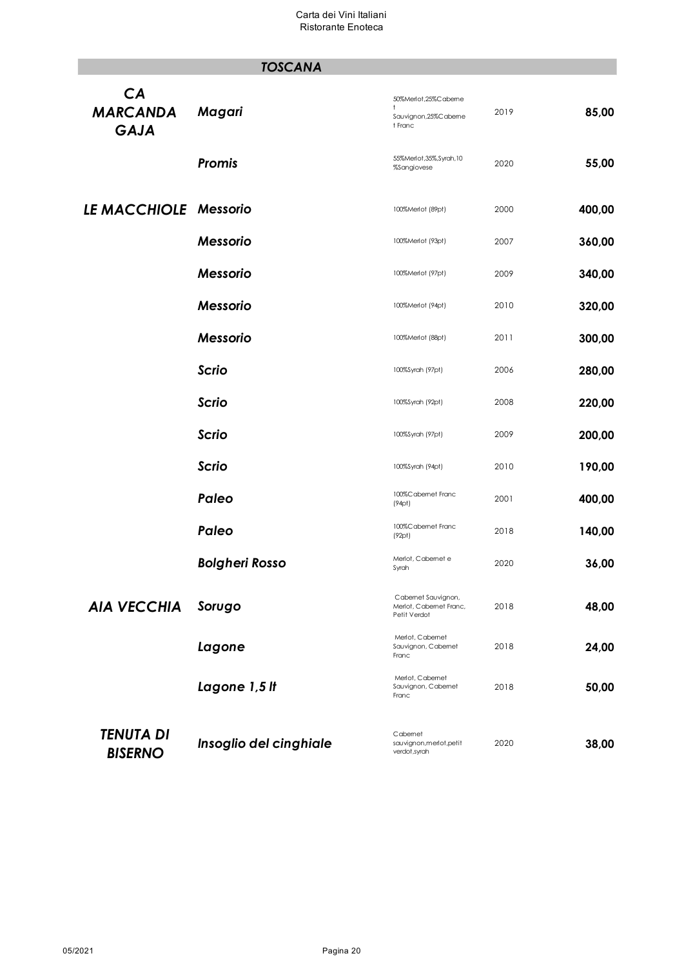# *TOSCANA*

| CA<br><b>MARCANDA</b><br><b>GAJA</b> | Magari                 | 50%Merlot,25%Caberne<br>Sauvignon, 25%C aberne<br>t Franc      | 2019 | 85,00  |
|--------------------------------------|------------------------|----------------------------------------------------------------|------|--------|
|                                      | <b>Promis</b>          | 55%Merlot, 35%, Syrah, 10<br>%Sangiovese                       | 2020 | 55,00  |
| LE MACCHIOLE Messorio                |                        | 100%Merlot (89pt)                                              | 2000 | 400,00 |
|                                      | <b>Messorio</b>        | 100%Merlot (93pt)                                              | 2007 | 360,00 |
|                                      | <b>Messorio</b>        | 100%Merlot (97pt)                                              | 2009 | 340,00 |
|                                      | <b>Messorio</b>        | 100%Merlot (94pt)                                              | 2010 | 320,00 |
|                                      | <b>Messorio</b>        | 100%Merlot (88pt)                                              | 2011 | 300,00 |
|                                      | <b>Scrio</b>           | 100%Syrah (97pt)                                               | 2006 | 280,00 |
|                                      | <b>Scrio</b>           | 100%Syrah (92pt)                                               | 2008 | 220,00 |
|                                      | <b>Scrio</b>           | 100%Syrah (97pt)                                               | 2009 | 200,00 |
|                                      | <b>Scrio</b>           | 100%Syrah (94pt)                                               | 2010 | 190,00 |
|                                      | Paleo                  | 100%Cabernet Franc<br>(94pt)                                   | 2001 | 400,00 |
|                                      | Paleo                  | 100%Cabernet Franc<br>(92pt)                                   | 2018 | 140,00 |
|                                      | <b>Bolgheri Rosso</b>  | Merlot, Cabernet e<br>Syrah                                    | 2020 | 36,00  |
| <b>AIA VECCHIA</b>                   | Sorugo                 | Cabernet Sauvignon,<br>Merlot, Cabernet Franc,<br>Petit Verdot | 2018 | 48,00  |
|                                      | Lagone                 | Merlot, Cabernet<br>Sauvignon, Cabemet<br>Franc                | 2018 | 24,00  |
|                                      | Lagone 1,5 It          | Merlot, Cabernet<br>Sauvignon, Cabemet<br>Franc                | 2018 | 50,00  |
| <b>TENUTA DI</b><br><b>BISERNO</b>   | Insoglio del cinghiale | Cabemet<br>sauvignon, merlot, petit<br>verdot, syrah           | 2020 | 38,00  |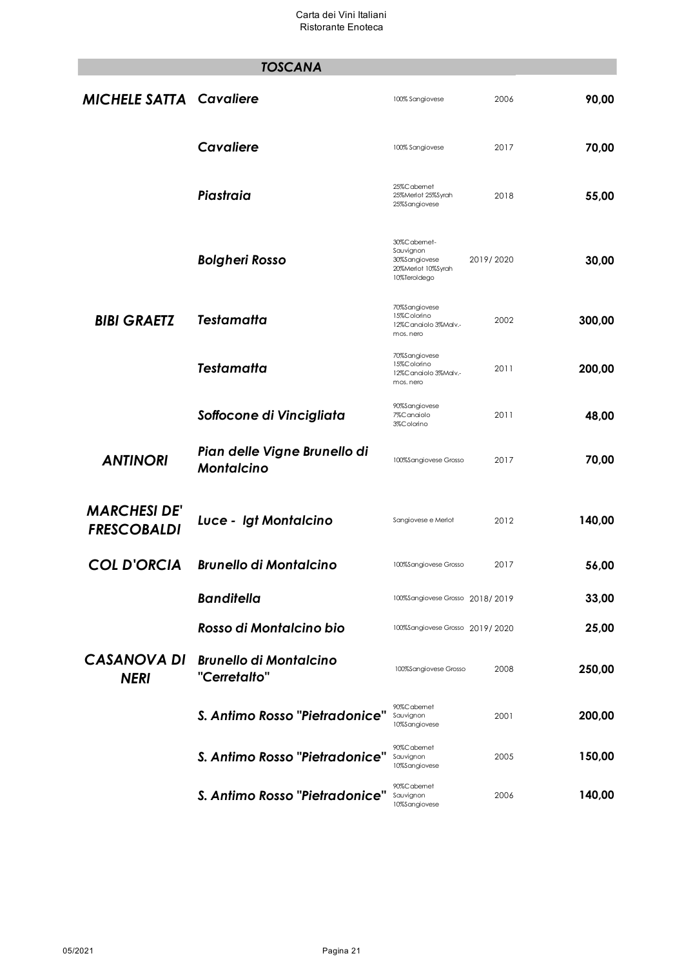|                                           | <b>TOSCANA</b>                                    |                                                                                 |           |        |
|-------------------------------------------|---------------------------------------------------|---------------------------------------------------------------------------------|-----------|--------|
| <b>MICHELE SATTA Cavaliere</b>            |                                                   | 100% Sangiovese                                                                 | 2006      | 90,00  |
|                                           | <b>Cavaliere</b>                                  | 100% Sangiovese                                                                 | 2017      | 70,00  |
|                                           | Piastraia                                         | 25%Cabemet<br>25%Merlot 25%Syrah<br>25%Sangiovese                               | 2018      | 55,00  |
|                                           | <b>Bolgheri Rosso</b>                             | 30%Cabemet-<br>Sauvignon<br>30%Sangiovese<br>20%Merlot 10%Syrah<br>10%TeroIdego | 2019/2020 | 30,00  |
| <b>BIBI GRAETZ</b>                        | <b>Testamatta</b>                                 | 70%Sangiovese<br>15%Colorino<br>12%Canaiolo 3%Malv.-<br>mos. nero               | 2002      | 300,00 |
|                                           | <b>Testamatta</b>                                 | 70%Sangiovese<br>15%Colorino<br>12%Canaiolo 3%Malv.-<br>mos. nero               | 2011      | 200,00 |
|                                           | Soffocone di Vincigliata                          | 90%Sangiovese<br>7%C anaiolo<br>3%C olorino                                     | 2011      | 48,00  |
| <b>ANTINORI</b>                           | Pian delle Vigne Brunello di<br><b>Montalcino</b> | 100%Sangiovese Grosso                                                           | 2017      | 70,00  |
| <b>MARCHESI DE'</b><br><b>FRESCOBALDI</b> | Luce - Igt Montalcino                             | Sangiovese e Merlot                                                             | 2012      | 140,00 |
| <b>COL D'ORCIA</b>                        | <b>Brunello di Montalcino</b>                     | 100%Sangiovese Grosso                                                           | 2017      | 56,00  |
|                                           | <b>Banditella</b>                                 | 100%Sangiovese Grosso 2018/2019                                                 |           | 33,00  |
|                                           | Rosso di Montalcino bio                           | 100%Sangiovese Grosso 2019/2020                                                 |           | 25,00  |
| <b>CASANOVA DI</b><br><b>NERI</b>         | <b>Brunello di Montalcino</b><br>"Cerretalto"     | 100%Sangiovese Grosso                                                           | 2008      | 250,00 |
|                                           | S. Antimo Rosso "Pietradonice"                    | 90%Cabemet<br>Sauvignon<br>10%Sangiovese                                        | 2001      | 200,00 |
|                                           | S. Antimo Rosso "Pietradonice"                    | 90%Cabemet<br>Sauvignon<br>10%Sangiovese                                        | 2005      | 150,00 |
|                                           | S. Antimo Rosso "Pietradonice"                    | 90%Cabemet<br>Sauvignon<br>10%Sangiovese                                        | 2006      | 140,00 |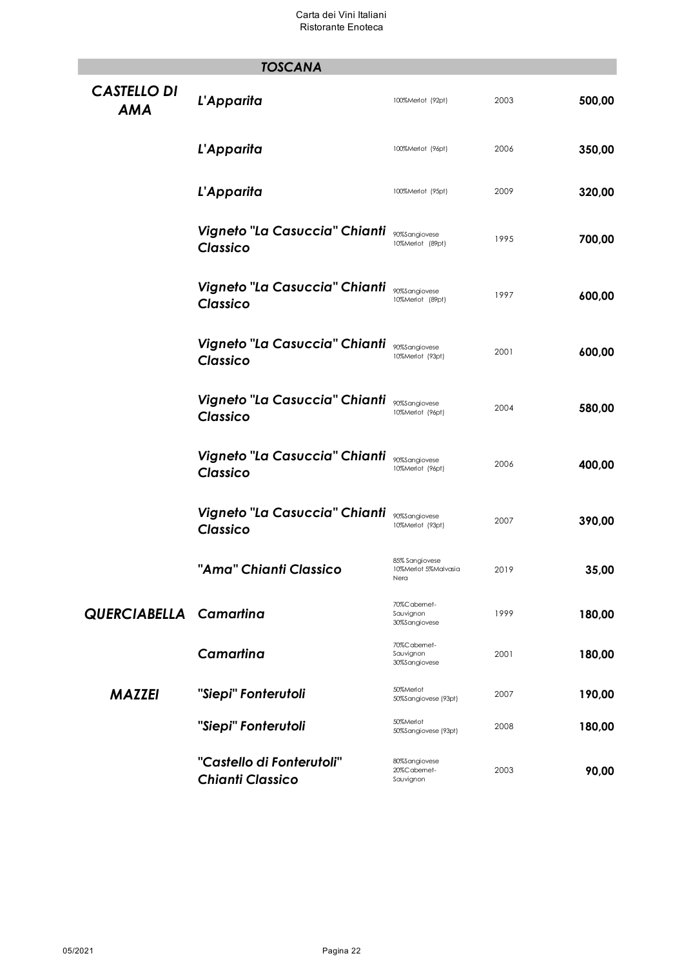|                                  | <b>TOSCANA</b>                                       |                                                |      |        |
|----------------------------------|------------------------------------------------------|------------------------------------------------|------|--------|
| <b>CASTELLO DI</b><br><b>AMA</b> | L'Apparita                                           | 100%Merlot (92pt)                              | 2003 | 500,00 |
|                                  | L'Apparita                                           | 100%Merlot (96pt)                              | 2006 | 350,00 |
|                                  | L'Apparita                                           | 100%Merlot (95pt)                              | 2009 | 320,00 |
|                                  | Vigneto "La Casuccia" Chianti<br><b>Classico</b>     | 90%Sangiovese<br>10%Merlot (89pt)              | 1995 | 700,00 |
|                                  | Vigneto "La Casuccia" Chianti<br><b>Classico</b>     | 90%Sangiovese<br>10%Merlot (89pt)              | 1997 | 600,00 |
|                                  | Vigneto "La Casuccia" Chianti<br><b>Classico</b>     | 90%Sangiovese<br>10%Merlot (93pt)              | 2001 | 600,00 |
|                                  | Vigneto "La Casuccia" Chianti<br><b>Classico</b>     | 90%Sangiovese<br>10%Merlot (96pt)              | 2004 | 580,00 |
|                                  | Vigneto "La Casuccia" Chianti<br><b>Classico</b>     | 90%Sangiovese<br>10%Merlot (96pt)              | 2006 | 400,00 |
|                                  | Vigneto "La Casuccia" Chianti<br><b>Classico</b>     | 90%Sangiovese<br>10%Merlot (93pt)              | 2007 | 390,00 |
|                                  | "Ama" Chianti Classico                               | 85% Sangiovese<br>10%Merlot 5%Malvasia<br>Nera | 2019 | 35,00  |
| <b>QUERCIABELLA</b> Camartina    |                                                      | 70%Cabemet-<br>Sauvignon<br>30%Sangiovese      | 1999 | 180,00 |
|                                  | Camartina                                            | 70%C abemet-<br>Sauvignon<br>30%Sangiovese     | 2001 | 180,00 |
| <b>MAZZEI</b>                    | "Siepi" Fonterutoli                                  | 50%Merlot<br>50%Sangiovese (93pt)              | 2007 | 190,00 |
|                                  | "Siepi" Fonterutoli                                  | 50%Merlot<br>50%Sangiovese (93pt)              | 2008 | 180,00 |
|                                  | "Castello di Fonterutoli"<br><b>Chianti Classico</b> | 80%Sangiovese<br>20%Cabemet-<br>Sauvignon      | 2003 | 90,00  |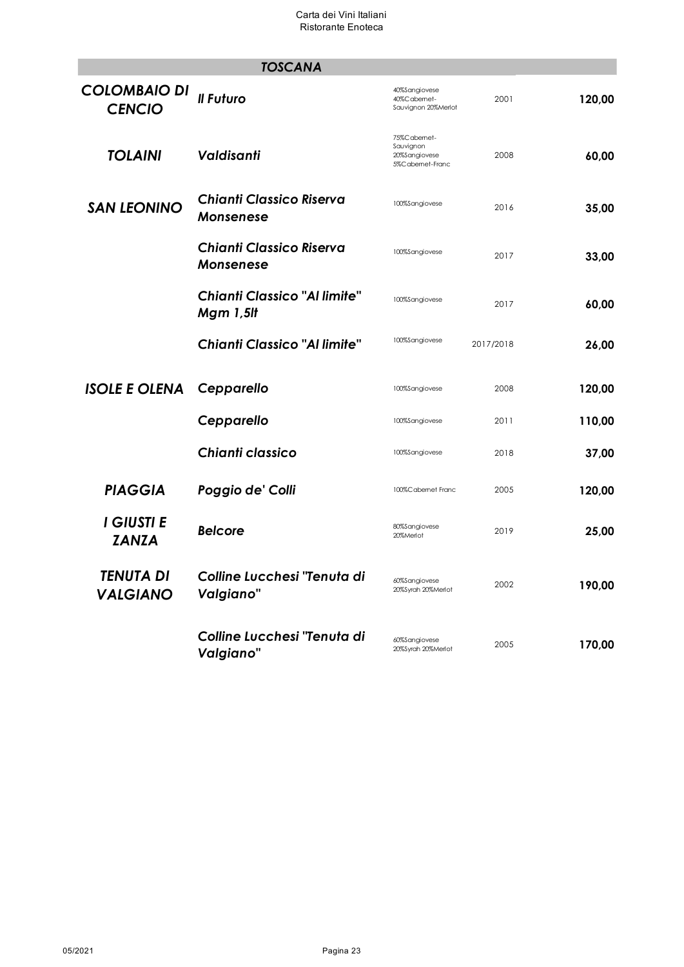|                                      | <b>TOSCANA</b>                                      |                                                                |           |        |
|--------------------------------------|-----------------------------------------------------|----------------------------------------------------------------|-----------|--------|
| <b>COLOMBAIO DI</b><br><b>CENCIO</b> | Il Futuro                                           | 40%Sangiovese<br>40%Cabemet-<br>Sauvignon 20%Merlot            | 2001      | 120,00 |
| <b>TOLAINI</b>                       | Valdisanti                                          | 75%Cabemet-<br>Sauvignon<br>20%Sangiovese<br>5%C abernet-Franc | 2008      | 60,00  |
| <b>SAN LEONINO</b>                   | <b>Chianti Classico Riserva</b><br>Monsenese        | 100%Sangiovese                                                 | 2016      | 35,00  |
|                                      | <b>Chianti Classico Riserva</b><br><b>Monsenese</b> | 100%Sangiovese                                                 | 2017      | 33,00  |
|                                      | <b>Chianti Classico "Al limite"</b><br>Mgm 1,5lt    | 100%Sangiovese                                                 | 2017      | 60,00  |
|                                      | <b>Chianti Classico "Al limite"</b>                 | 100%Sangiovese                                                 | 2017/2018 | 26,00  |
| <b>ISOLE E OLENA</b>                 | Cepparello                                          | 100%Sangiovese                                                 | 2008      | 120,00 |
|                                      | Cepparello                                          | 100%Sangiovese                                                 | 2011      | 110,00 |
|                                      | Chianti classico                                    | 100%Sangiovese                                                 | 2018      | 37,00  |
| <b>PIAGGIA</b>                       | Poggio de' Colli                                    | 100%Cabernet Franc                                             | 2005      | 120,00 |
| I GIUSTI E<br><b>ZANZA</b>           | <b>Belcore</b>                                      | 80%Sangiovese<br>20%Merlot                                     | 2019      | 25,00  |
| TENUTA DI<br><b>VALGIANO</b>         | Colline Lucchesi "Tenuta di<br>Valgiano"            | 60%Sangiovese<br>20%Syrah 20%Merlot                            | 2002      | 190,00 |
|                                      | Colline Lucchesi "Tenuta di<br>Valgiano"            | 60%Sangiovese<br>20%Syrah 20%Merlot                            | 2005      | 170,00 |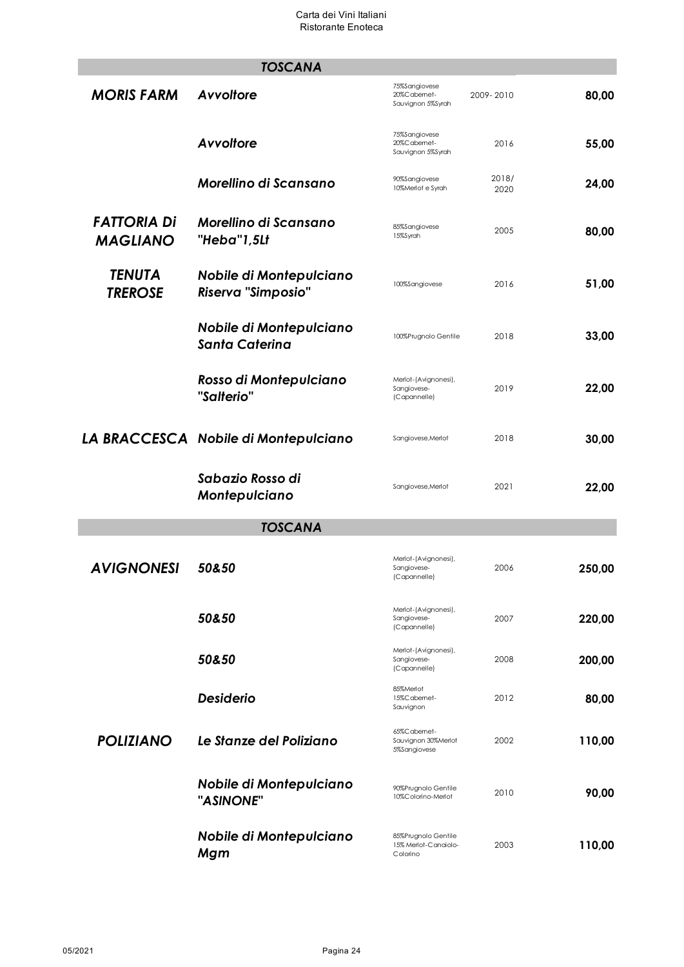|                                       | <b>TOSCANA</b>                                       |                                                         |               |        |
|---------------------------------------|------------------------------------------------------|---------------------------------------------------------|---------------|--------|
| <b>MORIS FARM</b>                     | Avvoltore                                            | 75%Sangiovese<br>20%Cabemet-<br>Sauvignon 5%Syrah       | 2009-2010     | 80,00  |
|                                       | Avvoltore                                            | 75%Sangiovese<br>20%Cabemet-<br>Sauvignon 5%Syrah       | 2016          | 55,00  |
|                                       | Morellino di Scansano                                | 90%Sangiovese<br>10%Merlot e Syrah                      | 2018/<br>2020 | 24,00  |
| <b>FATTORIA DI</b><br><b>MAGLIANO</b> | Morellino di Scansano<br>"Heba"1,5Lt                 | 85%Sangiovese<br>15%Syrah                               | 2005          | 80,00  |
| <b>TENUTA</b><br><b>TREROSE</b>       | Nobile di Montepulciano<br><b>Riserva "Simposio"</b> | 100%Sangiovese                                          | 2016          | 51,00  |
|                                       | Nobile di Montepulciano<br><b>Santa Caterina</b>     | 100%Prugnolo Gentile                                    | 2018          | 33,00  |
|                                       | Rosso di Montepulciano<br>"Salterio"                 | Merlot-(Avignonesi),<br>Sangiovese-<br>(Capannelle)     | 2019          | 22,00  |
|                                       | LA BRACCESCA Nobile di Montepulciano                 | Sangiovese, Merlot                                      | 2018          | 30,00  |
|                                       | Sabazio Rosso di<br>Montepulciano                    | Sangiovese, Merlot                                      | 2021          | 22,00  |
|                                       | <b>TOSCANA</b>                                       |                                                         |               |        |
| AVIGNONESI                            | 50&50                                                | Merlot-(Avignonesi),<br>Sangiovese-<br>(Capannelle)     | 2006          | 250,00 |
|                                       | 50&50                                                | Merlot-(Avignonesi),<br>Sangiovese-<br>(Capannelle)     | 2007          | 220,00 |
|                                       | 50&50                                                | Merlot-(Avignonesi),<br>Sangiovese-<br>(Capannelle)     | 2008          | 200,00 |
|                                       | <b>Desiderio</b>                                     | 85%Merlot<br>15%Cabemet-<br>Sauvignon                   | 2012          | 80,00  |
| <b>POLIZIANO</b>                      | Le Stanze del Poliziano                              | 65%Cabemet-<br>Sauvignon 30%Merlot<br>5%Sangiovese      | 2002          | 110,00 |
|                                       | Nobile di Montepulciano<br>"ASINONE"                 | 90%Prugnolo Gentile<br>10%Colorino-Merlot               | 2010          | 90,00  |
|                                       | Nobile di Montepulciano<br>Mgm                       | 85%Prugnolo Gentile<br>15% Merlot-Canaiolo-<br>Colorino | 2003          | 110,00 |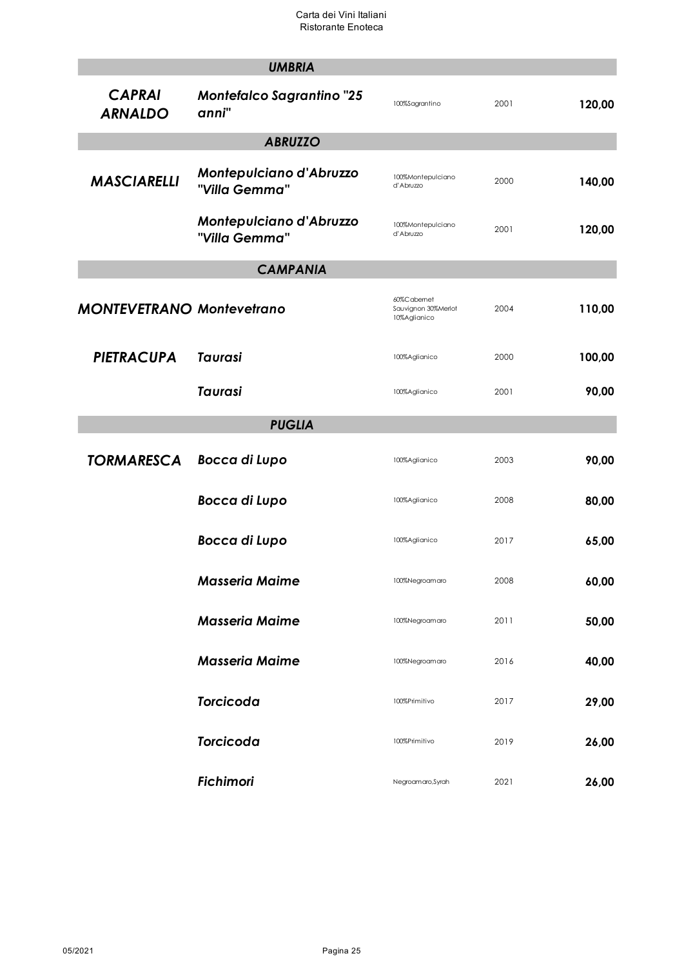|                                  | <b>UMBRIA</b>                             |                                                   |      |        |
|----------------------------------|-------------------------------------------|---------------------------------------------------|------|--------|
| <b>CAPRAI</b><br><b>ARNALDO</b>  | <b>Montefalco Sagrantino "25</b><br>anni" | 100%Sagrantino                                    | 2001 | 120,00 |
|                                  | <b>ABRUZZO</b>                            |                                                   |      |        |
| <b>MASCIARELLI</b>               | Montepulciano d'Abruzzo<br>"Villa Gemma"  | 100%Montepulciano<br>d'Abruzzo                    | 2000 | 140,00 |
|                                  | Montepulciano d'Abruzzo<br>"Villa Gemma"  | 100%Montepulciano<br>d'Abruzzo                    | 2001 | 120,00 |
|                                  | <b>CAMPANIA</b>                           |                                                   |      |        |
| <b>MONTEVETRANO Montevetrano</b> |                                           | 60%Cabemet<br>Sauvignon 30%Merlot<br>10%Aglianico | 2004 | 110,00 |
| <b>PIETRACUPA</b>                | <b>Taurasi</b>                            | 100%Aglianico                                     | 2000 | 100,00 |
|                                  | <b>Taurasi</b>                            | 100%Aglianico                                     | 2001 | 90,00  |
|                                  | <b>PUGLIA</b>                             |                                                   |      |        |
| <b>TORMARESCA</b>                | Bocca di Lupo                             | 100%Aglianico                                     | 2003 | 90,00  |
|                                  | <b>Bocca di Lupo</b>                      | 100%Aglianico                                     | 2008 | 80,00  |
|                                  | <b>Bocca di Lupo</b>                      | 100%Aglianico                                     | 2017 | 65,00  |
|                                  | <b>Masseria Maime</b>                     | 100%Negroamaro                                    | 2008 | 60,00  |
|                                  | <b>Masseria Maime</b>                     | 100%Negroamaro                                    | 2011 | 50,00  |
|                                  | <b>Masseria Maime</b>                     | 100%Negroamaro                                    | 2016 | 40,00  |
|                                  | <b>Torcicoda</b>                          | 100%Primitivo                                     | 2017 | 29,00  |
|                                  | <b>Torcicoda</b>                          | 100%Primitivo                                     | 2019 | 26,00  |
|                                  | <b>Fichimori</b>                          | Negroamaro, Syrah                                 | 2021 | 26,00  |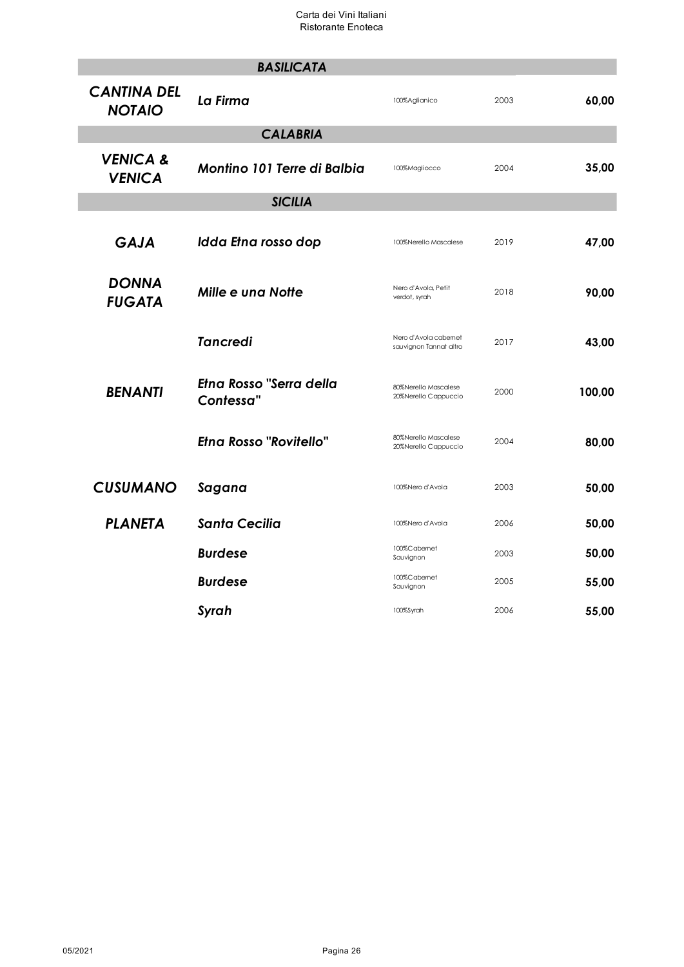|                                      | <b>BASILICATA</b>                    |                                                 |      |        |
|--------------------------------------|--------------------------------------|-------------------------------------------------|------|--------|
| <b>CANTINA DEL</b><br><b>NOTAIO</b>  | La Firma                             | 100%Aglianico                                   | 2003 | 60,00  |
|                                      | <b>CALABRIA</b>                      |                                                 |      |        |
| <b>VENICA &amp;</b><br><b>VENICA</b> | <b>Montino 101 Terre di Balbia</b>   | 100%Magliocco                                   | 2004 | 35,00  |
|                                      | <b>SICILIA</b>                       |                                                 |      |        |
| <b>GAJA</b>                          | Idda Etna rosso dop                  | 100%Nerello Mascalese                           | 2019 | 47,00  |
| <b>DONNA</b><br><b>FUGATA</b>        | <b>Mille e una Notte</b>             | Nero d'Avola, Petit<br>verdot, syrah            | 2018 | 90,00  |
|                                      | <b>Tancredi</b>                      | Nero d'Avola cabernet<br>sauvignon Tannat altro | 2017 | 43,00  |
| <b>BENANTI</b>                       | Etna Rosso "Serra della<br>Contessa" | 80%Nerello Mascalese<br>20%Nerello Cappuccio    | 2000 | 100,00 |
|                                      | <b>Etna Rosso "Rovitello"</b>        | 80%Nerello Mascalese<br>20%Nerello Cappuccio    | 2004 | 80,00  |
| <b>CUSUMANO</b>                      | Sagana                               | 100%Nero d'Avola                                | 2003 | 50,00  |
| <b>PLANETA</b>                       | <b>Santa Cecilia</b>                 | 100%Nero d'Avola                                | 2006 | 50,00  |
|                                      | <b>Burdese</b>                       | 100%Cabernet<br>Sauvignon                       | 2003 | 50,00  |
|                                      | <b>Burdese</b>                       | 100%Cabernet<br>Sauvignon                       | 2005 | 55,00  |
|                                      | Syrah                                | 100%Syrah                                       | 2006 | 55,00  |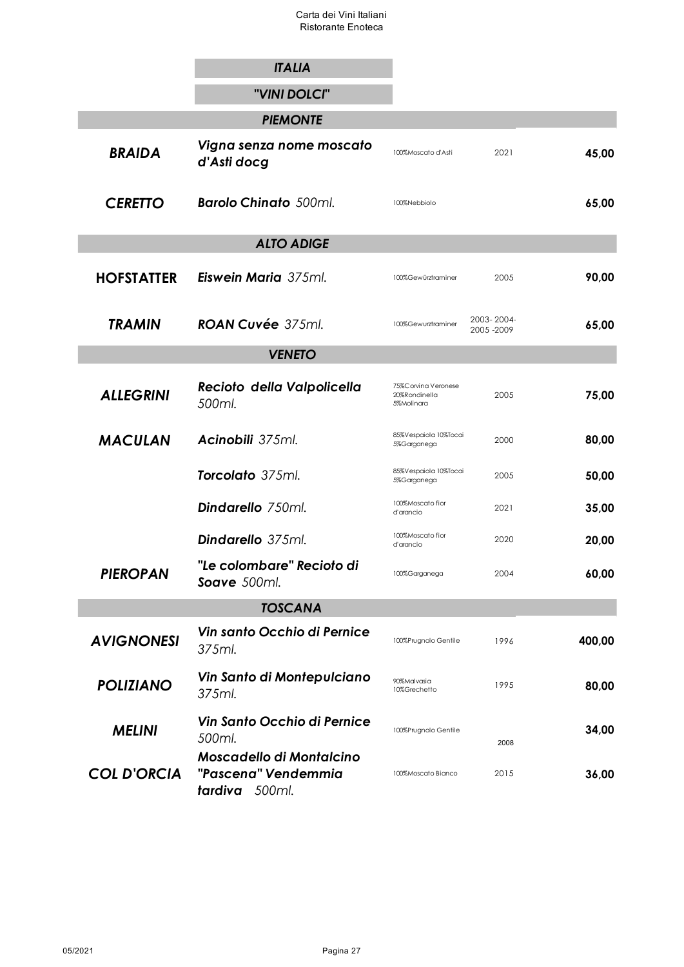|                    | <b>ITALIA</b>                                                            |                                                    |                           |        |
|--------------------|--------------------------------------------------------------------------|----------------------------------------------------|---------------------------|--------|
|                    | "VINI DOLCI"                                                             |                                                    |                           |        |
|                    | <b>PIEMONTE</b>                                                          |                                                    |                           |        |
| <b>BRAIDA</b>      | Vigna senza nome moscato<br>d'Asti docg                                  | 100%Moscato d'Asti                                 | 2021                      | 45,00  |
| <b>CERETTO</b>     | <b>Barolo Chinato</b> 500ml.                                             | 100%Nebbiolo                                       |                           | 65,00  |
|                    | <b>ALTO ADIGE</b>                                                        |                                                    |                           |        |
| <b>HOFSTATTER</b>  | <b>Eiswein Maria</b> 375ml.                                              | 100%Gewürztraminer                                 | 2005                      | 90,00  |
| <b>TRAMIN</b>      | ROAN Cuvée 375ml.                                                        | 100%Gewurztraminer                                 | 2003-2004-<br>2005 - 2009 | 65,00  |
|                    | <b>VENETO</b>                                                            |                                                    |                           |        |
| <b>ALLEGRINI</b>   | Recioto della Valpolicella<br>500ml.                                     | 75%Corvina Veronese<br>20%Rondinella<br>5%Molinara | 2005                      | 75,00  |
| <b>MACULAN</b>     | Acinobili 375ml.                                                         | 85%Vespaiola 10%Tocai<br>5%Garganega               | 2000                      | 80,00  |
|                    | Torcolato 375ml.                                                         | 85%Vespaiola 10%Tocai<br>5%Garganega               | 2005                      | 50,00  |
|                    | <b>Dindarello</b> 750ml.                                                 | 100%Moscato fior<br>d'arancio                      | 2021                      | 35,00  |
|                    | <b>Dindarello</b> 375ml.                                                 | 100%Moscato fior<br>d'arancio                      | 2020                      | 20,00  |
| <b>PIEROPAN</b>    | "Le colombare" Recioto di<br>Soave 500ml.                                | 100%Garganega                                      | 2004                      | 60,00  |
|                    | <b>TOSCANA</b>                                                           |                                                    |                           |        |
| <b>AVIGNONESI</b>  | Vin santo Occhio di Pernice<br>375ml.                                    | 100%Prugnolo Gentile                               | 1996                      | 400,00 |
| <b>POLIZIANO</b>   | Vin Santo di Montepulciano<br>375ml.                                     | 90%Malvasia<br>10%Grechetto                        | 1995                      | 80,00  |
| <b>MELINI</b>      | Vin Santo Occhio di Pernice<br>500ml.                                    | 100%Prugnolo Gentile                               | 2008                      | 34,00  |
| <b>COL D'ORCIA</b> | <b>Moscadello di Montalcino</b><br>"Pascena" Vendemmia<br>tardiva 500ml. | 100%Moscato Bianco                                 | 2015                      | 36,00  |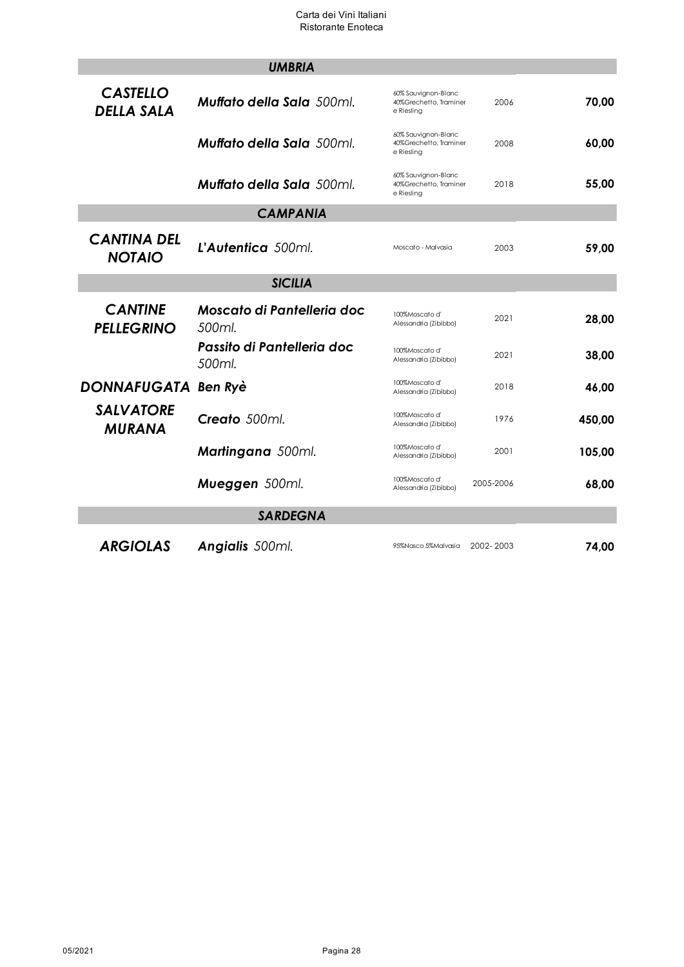|                                      | <b>UMBRIA</b>                        |                                                             |           |        |
|--------------------------------------|--------------------------------------|-------------------------------------------------------------|-----------|--------|
| <b>CASTELLO</b><br><b>DELLA SALA</b> | <b>Muffato della Sala</b> 500ml.     | 60% Sauvignon-Blanc<br>40%Grechetto, Traminer<br>e Riesling | 2006      | 70,00  |
|                                      | <b>Muffato della Sala</b> 500ml.     | 60% Sauvignon-Blanc<br>40%Grechetto, Traminer<br>e Riesling | 2008      | 60,00  |
|                                      | <b>Muffato della Sala</b> 500ml.     | 60% Sauvignon-Blanc<br>40%Grechetto, Traminer<br>e Riesling | 2018      | 55,00  |
|                                      |                                      |                                                             |           |        |
| <b>CANTINA DEL</b><br><b>NOTAIO</b>  | L'Autentica 500ml.                   | Moscato - Malvasia                                          | 2003      | 59,00  |
|                                      | <b>SICILIA</b>                       |                                                             |           |        |
| <b>CANTINE</b><br><b>PELLEGRINO</b>  | Moscato di Pantelleria doc<br>500ml. | 100%Moscato d'<br>Alessandria (Zibibbo)                     | 2021      | 28,00  |
|                                      | Passito di Pantelleria doc<br>500ml. | 100%Moscato d'<br>Alessandria (Zibibbo)                     | 2021      | 38,00  |
| DONNAFUGATA Ben Ryè                  |                                      | 100%Moscato d'<br>Alessandria (Zibibbo)                     | 2018      | 46,00  |
| <b>SALVATORE</b><br><b>MURANA</b>    | Creato 500ml.                        | 100%Moscato d'<br>Alessandria (Zibibbo)                     | 1976      | 450,00 |
|                                      | <b>Martingana</b> 500ml.             | 100%Moscato d'<br>Alessandria (Zibibbo)                     | 2001      | 105.00 |
|                                      | Mueggen 500ml.                       | 100%Moscato d'<br>Alessandria (Zibibbo)                     | 2005-2006 | 68,00  |
|                                      | <b>SARDEGNA</b>                      |                                                             |           |        |
| <b>ARGIOLAS</b>                      | <b>Angialis</b> 500ml.               | 95%Nasco 5%Malvasia                                         | 2002-2003 | 74,00  |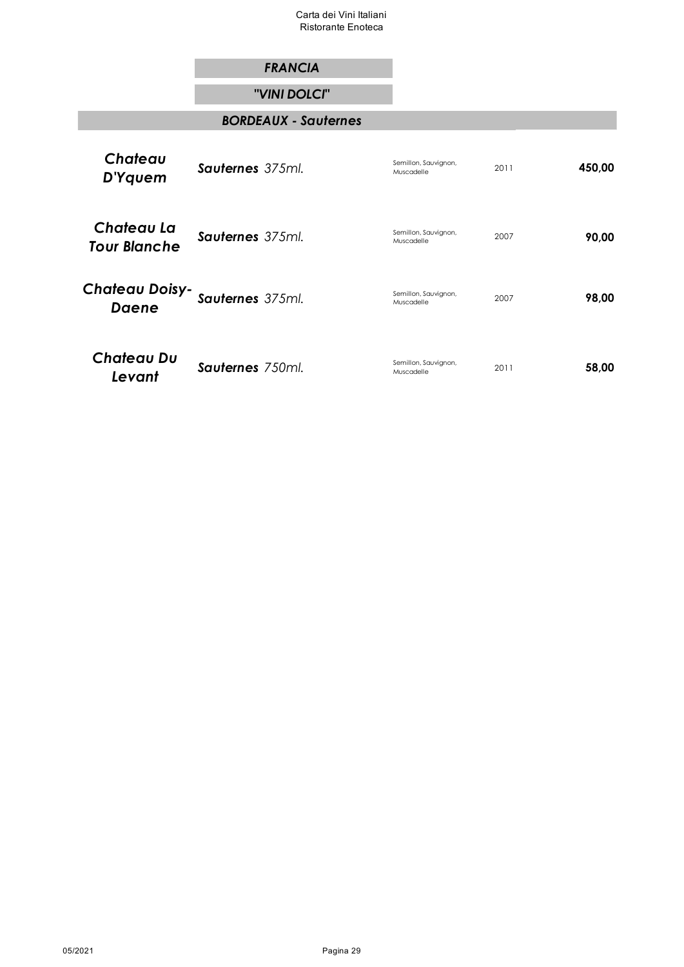## *FRANCIA*

### *"VINI DOLCI"*

### *BORDEAUX - Sauternes*

| Chateau<br>D'Yquem                | <b>Sauternes</b> 375ml. | Semillon, Sauvignon,<br>Muscadelle | 2011 | 450,00 |
|-----------------------------------|-------------------------|------------------------------------|------|--------|
| Chateau La<br><b>Tour Blanche</b> | <b>Sauternes</b> 375ml. | Semillon, Sauvignon,<br>Muscadelle | 2007 | 90,00  |
| Chałeau Doisy-<br><b>Daene</b>    | Sauternes 375ml.        | Semillon, Sauvignon,<br>Muscadelle | 2007 | 98,00  |
| <b>Chateau Du</b><br>Levant       | Sauternes 750ml.        | Semillon, Sauvignon,<br>Muscadelle | 2011 | 58,00  |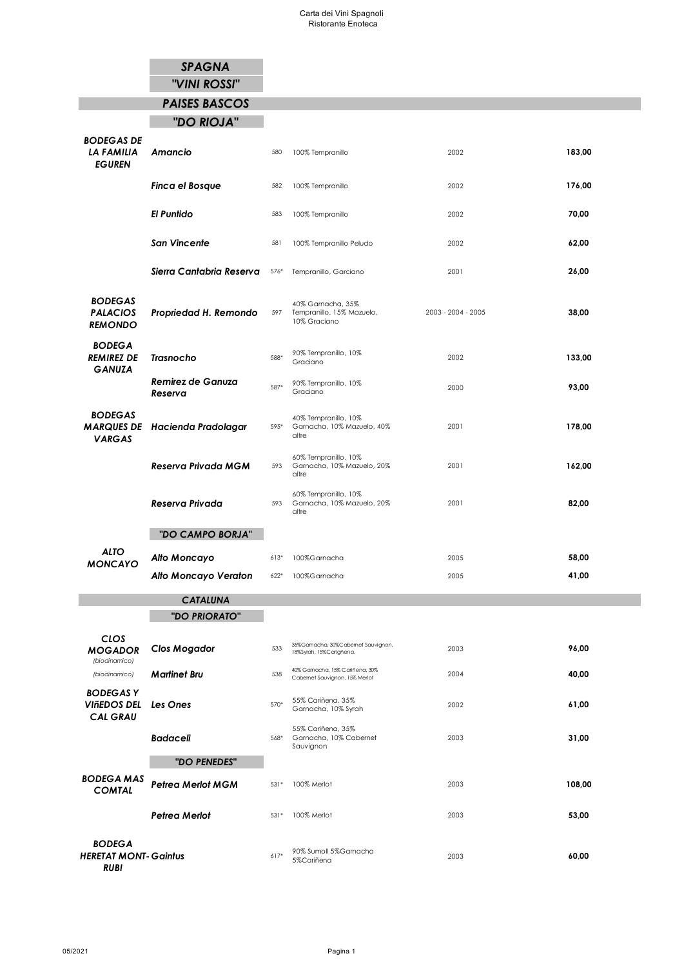# *SPAGNA*

*"VINI ROSSI"*

# *PAISES BASCOS*

# *"DO RIOJA"*

Г

| <b>BODEGAS DE</b><br>LA FAMILIA<br><b>EGUREN</b>    | Amancio                               | 580    | 100% Tempranillo                                              | 2002               | 183,00 |
|-----------------------------------------------------|---------------------------------------|--------|---------------------------------------------------------------|--------------------|--------|
|                                                     | <b>Finca el Bosque</b>                | 582    | 100% Tempranillo                                              | 2002               | 176,00 |
|                                                     | <b>El Puntido</b>                     | 583    | 100% Tempranillo                                              | 2002               | 70,00  |
|                                                     | <b>San Vincente</b>                   | 581    | 100% Tempranillo Peludo                                       | 2002               | 62,00  |
|                                                     | Sierra Cantabria Reserva              | 576*   | Tempranillo, Garciano                                         | 2001               | 26,00  |
| <b>BODEGAS</b><br><b>PALACIOS</b><br><b>REMONDO</b> | Propriedad H. Remondo                 | 597    | 40% Gamacha, 35%<br>Tempranillo, 15% Mazuelo,<br>10% Graciano | 2003 - 2004 - 2005 | 38,00  |
| <b>BODEGA</b><br><b>REMIREZ DE</b><br><b>GANUZA</b> | <b>Trasnocho</b>                      | 588*   | 90% Tempranillo, 10%<br>Graciano                              | 2002               | 133,00 |
|                                                     | <b>Remirez de Ganuza</b><br>Reserva   | 587*   | 90% Tempranillo, 10%<br>Graciano                              | 2000               | 93,00  |
| <b>BODEGAS</b><br><b>VARGAS</b>                     | <b>MARQUES DE</b> Hacienda Pradolagar | 595*   | 40% Tempranillo, 10%<br>Garnacha, 10% Mazuelo, 40%<br>altre   | 2001               | 178,00 |
|                                                     | Reserva Privada MGM                   | 593    | 60% Tempranillo, 10%<br>Garnacha, 10% Mazuelo, 20%<br>altre   | 2001               | 162,00 |
|                                                     | Reserva Privada                       | 593    | 60% Tempranillo, 10%<br>Garnacha, 10% Mazuelo, 20%<br>altre   | 2001               | 82,00  |
|                                                     | "DO CAMPO BORJA"                      |        |                                                               |                    |        |
| <b>ALTO</b><br><b>MONCAYO</b>                       | Alto Moncayo                          | $613*$ | 100%Garnacha                                                  | 2005               | 58,00  |
|                                                     | Alto Moncayo Veraton                  | $622*$ | 100%Garnacha                                                  | 2005               | 41,00  |
|                                                     | <b>CATALUNA</b>                       |        |                                                               |                    |        |
|                                                     | "DO PRIORATO"                         |        |                                                               |                    |        |
| CLOS                                                |                                       |        |                                                               |                    |        |

| CLOS<br><b>MOGADOR</b><br>(biodinamico)                     | <b>Clos Mogador</b>      | 533    | 35%Gamacha, 30%Cabemet Sauvignon,<br>18%Syrah, 15%Carigñena.     | 2003 | 96,00  |
|-------------------------------------------------------------|--------------------------|--------|------------------------------------------------------------------|------|--------|
| (biodinamico)                                               | <b>Martinet Bru</b>      | 538    | 40% Gamacha, 15% Cariñena, 30%<br>Cabernet Sauvignon, 15% Merlot | 2004 | 40,00  |
| <b>BODEGASY</b><br>VIñEDOS DEL<br><b>CAL GRAU</b>           | Les Ones                 | $570*$ | 55% Cariñena, 35%<br>Garnacha, 10% Syrah                         | 2002 | 61,00  |
|                                                             | <b>Badaceli</b>          | 568*   | 55% Cariñena, 35%<br>Garnacha, 10% Cabernet<br>Sauvignon         | 2003 | 31,00  |
|                                                             | "DO PENEDES"             |        |                                                                  |      |        |
| <b>BODEGA MAS</b><br><b>COMTAL</b>                          | <b>Petrea Merlot MGM</b> | $531*$ | 100% Merlot                                                      | 2003 | 108,00 |
|                                                             | Petrea Merlot            | $531*$ | 100% Merlot                                                      | 2003 | 53,00  |
| <b>BODEGA</b><br><b>HERETAT MONT-Gaintus</b><br><b>RUBI</b> |                          | $617*$ | 90% Sumoll 5%Garnacha<br>5%Cariñena                              | 2003 | 60,00  |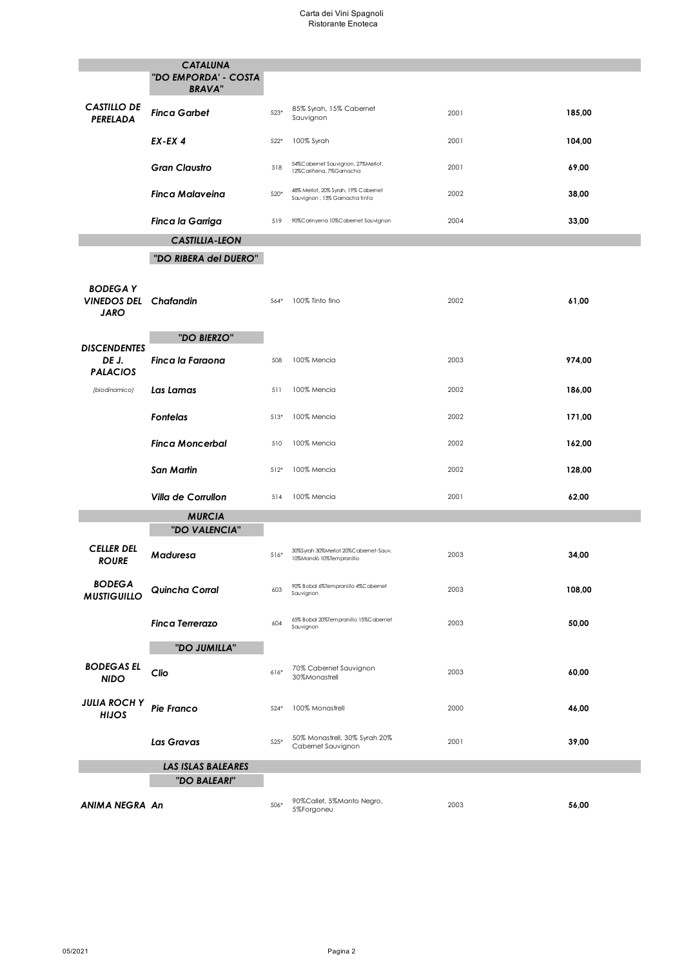#### Carta dei Vini Spagnoli Ristorante Enoteca

|                                                               | <b>CATALUNA</b><br>"DO EMPORDA' - COSTA<br><b>BRAVA"</b> |        |                                                                     |      |        |
|---------------------------------------------------------------|----------------------------------------------------------|--------|---------------------------------------------------------------------|------|--------|
| <b>CASTILLO DE</b><br>PERELADA                                | <b>Finca Garbet</b>                                      | 523*   | 85% Syrah, 15% Cabernet<br>Sauvignon                                | 2001 | 185,00 |
|                                                               | $EX$ -EX 4                                               | $522*$ | 100% Syrah                                                          | 2001 | 104,00 |
|                                                               | <b>Gran Claustro</b>                                     | 518    | 54%Cabemet Sauvignon, 27%Merlot,<br>12%Cariñena, 7%Gamacha          | 2001 | 69,00  |
|                                                               | Finca Malaveina                                          | 520*   | 48% Merlot, 20% Syrah, 19% Cabernet<br>Sauvignon, 13% Gamacha tinta | 2002 | 38,00  |
|                                                               | <b>Finca la Garriga</b>                                  | 519    | 90%Carinyena 10%Cabernet Sauvignon                                  | 2004 | 33,00  |
|                                                               | <b>CASTILLIA-LEON</b>                                    |        |                                                                     |      |        |
|                                                               | "DO RIBERA del DUERO"                                    |        |                                                                     |      |        |
| <b>BODEGAY</b><br><b>VINEDOS DEL Chafandin</b><br><b>JARO</b> |                                                          | 564*   | 100% Tinto fino                                                     | 2002 | 61,00  |
|                                                               | "DO BIERZO"                                              |        |                                                                     |      |        |
| <b>DISCENDENTES</b><br>DE J.<br><b>PALACIOS</b>               | Finca la Faraona                                         | 508    | 100% Mencia                                                         | 2003 | 974,00 |
| (biodinamico)                                                 | Las Lamas                                                | 511    | 100% Mencia                                                         | 2002 | 186,00 |
|                                                               | <b>Fontelas</b>                                          | $513*$ | 100% Mencia                                                         | 2002 | 171,00 |
|                                                               | <b>Finca Moncerbal</b>                                   | 510    | 100% Mencia                                                         | 2002 | 162,00 |
|                                                               | San Martin                                               | $512*$ | 100% Mencia                                                         | 2002 | 128,00 |
|                                                               | <b>Villa de Corrullon</b>                                | 514    | 100% Mencia                                                         | 2001 | 62,00  |
|                                                               | <b>MURCIA</b>                                            |        |                                                                     |      |        |
|                                                               | "DO VALENCIA"                                            |        |                                                                     |      |        |
| <b>CELLER DEL</b><br><b>ROURE</b>                             | Maduresa                                                 | $516*$ | 30%Syrah 30%Merlot 20%Cabemet-Sauv.<br>10%Mandò 10%Tempranillo      | 2003 | 34,00  |
| <b>BODEGA</b><br><b>MUSTIGUILLO</b>                           | Quincha Corral                                           | 603    | 90% Bobal 6%Tempranillo 4%Cabemet<br>Sauvignon                      | 2003 | 108,00 |
|                                                               | <b>Finca Terrerazo</b>                                   | 604    | 65% Bobal 20%Tempranillo 15%Cabemet<br>Sauvignon                    | 2003 | 50,00  |
|                                                               | "DO JUMILLA"                                             |        |                                                                     |      |        |
| <b>BODEGAS EL</b><br><b>NIDO</b>                              | Clio                                                     | $616*$ | 70% Cabernet Sauvignon<br>30%Monastrell                             | 2003 | 60,00  |
| <b>JULIA ROCH Y</b><br>HIJOS                                  | <b>Pie Franco</b>                                        | $524*$ | 100% Monastrell                                                     | 2000 | 46,00  |
|                                                               | Las Gravas                                               | $525*$ | 50% Monastrell, 30% Syrah 20%<br>Cabernet Sauvignon                 | 2001 | 39,00  |
|                                                               | <b>LAS ISLAS BALEARES</b>                                |        |                                                                     |      |        |
|                                                               | "DO BALEARI"                                             |        |                                                                     |      |        |
| ANIMA NEGRA An                                                |                                                          | 506*   | 90%Callet, 5%Manto Negro,<br>5%Forgoneu                             | 2003 | 56,00  |